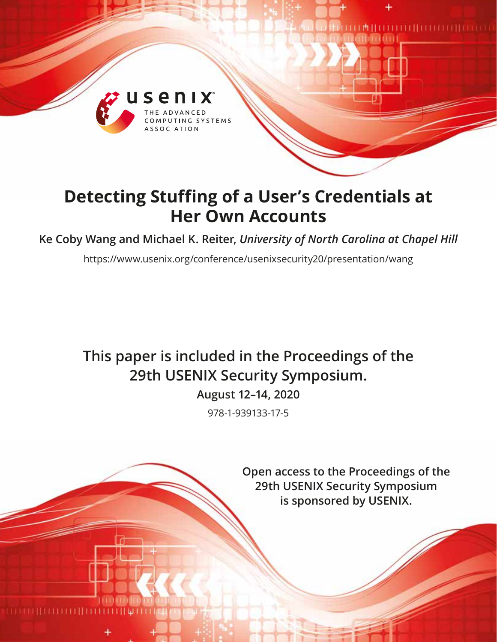

# **Detecting Stuffing of a User's Credentials at Her Own Accounts**

**Ke Coby Wang and Michael K. Reiter,** *University of North Carolina at Chapel Hill*

https://www.usenix.org/conference/usenixsecurity20/presentation/wang

# **This paper is included in the Proceedings of the 29th USENIX Security Symposium.**

**August 12–14, 2020**

978-1-939133-17-5

**Open access to the Proceedings of the 29th USENIX Security Symposium is sponsored by USENIX.**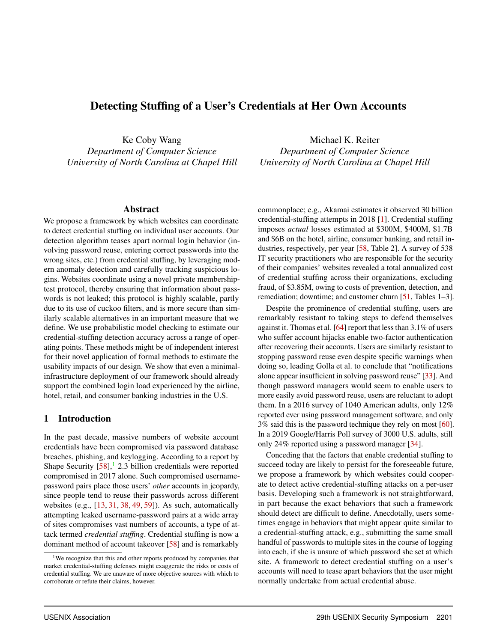# Detecting Stuffing of a User's Credentials at Her Own Accounts

Ke Coby Wang *Department of Computer Science University of North Carolina at Chapel Hill*

#### Abstract

We propose a framework by which websites can coordinate to detect credential stuffing on individual user accounts. Our detection algorithm teases apart normal login behavior (involving password reuse, entering correct passwords into the wrong sites, etc.) from credential stuffing, by leveraging modern anomaly detection and carefully tracking suspicious logins. Websites coordinate using a novel private membershiptest protocol, thereby ensuring that information about passwords is not leaked; this protocol is highly scalable, partly due to its use of cuckoo filters, and is more secure than similarly scalable alternatives in an important measure that we define. We use probabilistic model checking to estimate our credential-stuffing detection accuracy across a range of operating points. These methods might be of independent interest for their novel application of formal methods to estimate the usability impacts of our design. We show that even a minimalinfrastructure deployment of our framework should already support the combined login load experienced by the airline, hotel, retail, and consumer banking industries in the U.S.

### 1 Introduction

In the past decade, massive numbers of website account credentials have been compromised via password database breaches, phishing, and keylogging. According to a report by Shape Security  $[58]$ , 2.3 billion credentials were reported compromised in 2017 alone. Such compromised usernamepassword pairs place those users' *other* accounts in jeopardy, since people tend to reuse their passwords across different websites (e.g., [\[13,](#page-16-0) [31,](#page-17-0) [38,](#page-17-1) [49,](#page-17-2) [59\]](#page-18-1)). As such, automatically attempting leaked username-password pairs at a wide array of sites compromises vast numbers of accounts, a type of attack termed *credential stuffing*. Credential stuffing is now a dominant method of account takeover [\[58\]](#page-18-0) and is remarkably

Michael K. Reiter *Department of Computer Science University of North Carolina at Chapel Hill*

commonplace; e.g., Akamai estimates it observed 30 billion credential-stuffing attempts in 2018 [\[1\]](#page-16-1). Credential stuffing imposes *actual* losses estimated at \$300M, \$400M, \$1.7B and \$6B on the hotel, airline, consumer banking, and retail in-dustries, respectively, per year [\[58,](#page-18-0) Table 2]. A survey of 538 IT security practitioners who are responsible for the security of their companies' websites revealed a total annualized cost of credential stuffing across their organizations, excluding fraud, of \$3.85M, owing to costs of prevention, detection, and remediation; downtime; and customer churn [\[51,](#page-17-3) Tables 1–3].

Despite the prominence of credential stuffing, users are remarkably resistant to taking steps to defend themselves against it. Thomas et al. [\[64\]](#page-18-2) report that less than 3.1% of users who suffer account hijacks enable two-factor authentication after recovering their accounts. Users are similarly resistant to stopping password reuse even despite specific warnings when doing so, leading Golla et al. to conclude that "notifications alone appear insufficient in solving password reuse" [\[33\]](#page-17-4). And though password managers would seem to enable users to more easily avoid password reuse, users are reluctant to adopt them. In a 2016 survey of 1040 American adults, only 12% reported ever using password management software, and only 3% said this is the password technique they rely on most [\[60\]](#page-18-3). In a 2019 Google/Harris Poll survey of 3000 U.S. adults, still only 24% reported using a password manager [\[34\]](#page-17-5).

Conceding that the factors that enable credential stuffing to succeed today are likely to persist for the foreseeable future, we propose a framework by which websites could cooperate to detect active credential-stuffing attacks on a per-user basis. Developing such a framework is not straightforward, in part because the exact behaviors that such a framework should detect are difficult to define. Anecdotally, users sometimes engage in behaviors that might appear quite similar to a credential-stuffing attack, e.g., submitting the same small handful of passwords to multiple sites in the course of logging into each, if she is unsure of which password she set at which site. A framework to detect credential stuffing on a user's accounts will need to tease apart behaviors that the user might normally undertake from actual credential abuse.

<span id="page-1-0"></span><sup>&</sup>lt;sup>1</sup>We recognize that this and other reports produced by companies that market credential-stuffing defenses might exaggerate the risks or costs of credential stuffing. We are unaware of more objective sources with which to corroborate or refute their claims, however.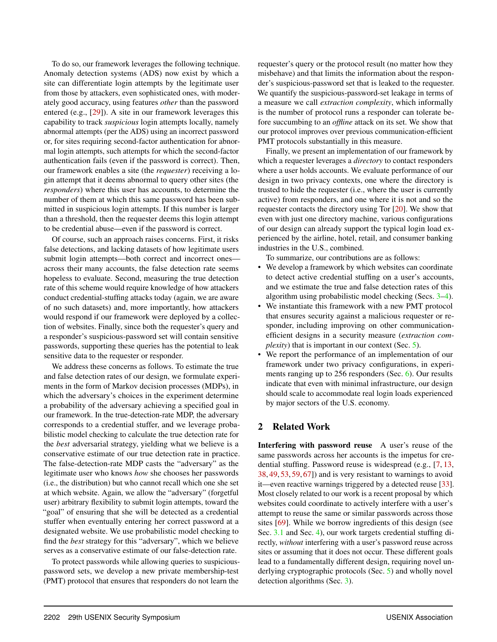To do so, our framework leverages the following technique. Anomaly detection systems (ADS) now exist by which a site can differentiate login attempts by the legitimate user from those by attackers, even sophisticated ones, with moderately good accuracy, using features *other* than the password entered (e.g., [\[29\]](#page-17-6)). A site in our framework leverages this capability to track *suspicious* login attempts locally, namely abnormal attempts (per the ADS) using an incorrect password or, for sites requiring second-factor authentication for abnormal login attempts, such attempts for which the second-factor authentication fails (even if the password is correct). Then, our framework enables a site (the *requester*) receiving a login attempt that it deems abnormal to query other sites (the *responders*) where this user has accounts, to determine the number of them at which this same password has been submitted in suspicious login attempts. If this number is larger than a threshold, then the requester deems this login attempt to be credential abuse—even if the password is correct.

Of course, such an approach raises concerns. First, it risks false detections, and lacking datasets of how legitimate users submit login attempts—both correct and incorrect ones across their many accounts, the false detection rate seems hopeless to evaluate. Second, measuring the true detection rate of this scheme would require knowledge of how attackers conduct credential-stuffing attacks today (again, we are aware of no such datasets) and, more importantly, how attackers would respond if our framework were deployed by a collection of websites. Finally, since both the requester's query and a responder's suspicious-password set will contain sensitive passwords, supporting these queries has the potential to leak sensitive data to the requester or responder.

We address these concerns as follows. To estimate the true and false detection rates of our design, we formulate experiments in the form of Markov decision processes (MDPs), in which the adversary's choices in the experiment determine a probability of the adversary achieving a specified goal in our framework. In the true-detection-rate MDP, the adversary corresponds to a credential stuffer, and we leverage probabilistic model checking to calculate the true detection rate for the *best* adversarial strategy, yielding what we believe is a conservative estimate of our true detection rate in practice. The false-detection-rate MDP casts the "adversary" as the legitimate user who knows *how* she chooses her passwords (i.e., the distribution) but who cannot recall which one she set at which website. Again, we allow the "adversary" (forgetful user) arbitrary flexibility to submit login attempts, toward the "goal" of ensuring that she will be detected as a credential stuffer when eventually entering her correct password at a designated website. We use probabilistic model checking to find the *best* strategy for this "adversary", which we believe serves as a conservative estimate of our false-detection rate.

To protect passwords while allowing queries to suspiciouspassword sets, we develop a new private membership-test (PMT) protocol that ensures that responders do not learn the

requester's query or the protocol result (no matter how they misbehave) and that limits the information about the responder's suspicious-password set that is leaked to the requester. We quantify the suspicious-password-set leakage in terms of a measure we call *extraction complexity*, which informally is the number of protocol runs a responder can tolerate before succumbing to an *offline* attack on its set. We show that our protocol improves over previous communication-efficient PMT protocols substantially in this measure.

Finally, we present an implementation of our framework by which a requester leverages a *directory* to contact responders where a user holds accounts. We evaluate performance of our design in two privacy contexts, one where the directory is trusted to hide the requester (i.e., where the user is currently active) from responders, and one where it is not and so the requester contacts the directory using Tor [\[20\]](#page-16-2). We show that even with just one directory machine, various configurations of our design can already support the typical login load experienced by the airline, hotel, retail, and consumer banking industries in the U.S., combined.

To summarize, our contributions are as follows:

- We develop a framework by which websites can coordinate to detect active credential stuffing on a user's accounts, and we estimate the true and false detection rates of this algorithm using probabilistic model checking (Secs. [3–](#page-3-0)[4\)](#page-8-0).
- We instantiate this framework with a new PMT protocol that ensures security against a malicious requester or responder, including improving on other communicationefficient designs in a security measure (*extraction complexity*) that is important in our context (Sec. [5\)](#page-10-0).
- We report the performance of an implementation of our framework under two privacy configurations, in experi-ments ranging up to 256 responders (Sec. [6\)](#page-13-0). Our results indicate that even with minimal infrastructure, our design should scale to accommodate real login loads experienced by major sectors of the U.S. economy.

# 2 Related Work

Interfering with password reuse A user's reuse of the same passwords across her accounts is the impetus for credential stuffing. Password reuse is widespread (e.g., [\[7,](#page-16-3) [13,](#page-16-0) [38,](#page-17-1) [49,](#page-17-2) [53,](#page-18-4) [59,](#page-18-1) [67\]](#page-18-5)) and is very resistant to warnings to avoid it—even reactive warnings triggered by a detected reuse [\[33\]](#page-17-4). Most closely related to our work is a recent proposal by which websites could coordinate to actively interfere with a user's attempt to reuse the same or similar passwords across those sites [\[69\]](#page-18-6). While we borrow ingredients of this design (see Sec. [3.1](#page-3-1) and Sec. [4\)](#page-8-0), our work targets credential stuffing directly, *without* interfering with a user's password reuse across sites or assuming that it does not occur. These different goals lead to a fundamentally different design, requiring novel un-derlying cryptographic protocols (Sec. [5\)](#page-10-0) and wholly novel detection algorithms (Sec. [3\)](#page-3-0).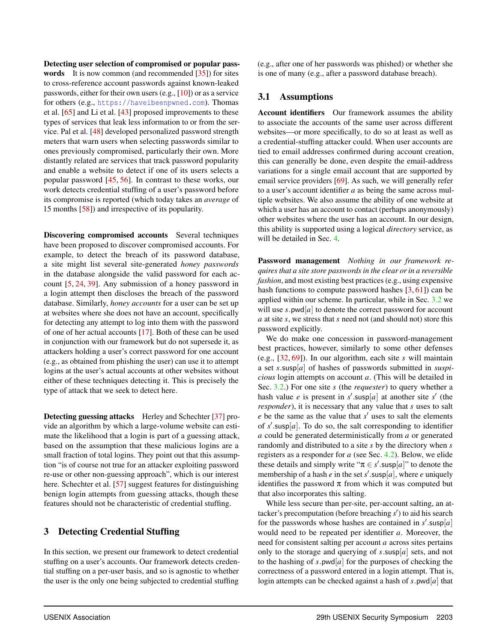Detecting user selection of compromised or popular pass**words** It is now common (and recommended  $[35]$ ) for sites to cross-reference account passwords against known-leaked passwords, either for their own users (e.g., [\[10\]](#page-16-4)) or as a service for others (e.g., <https://haveibeenpwned.com>). Thomas et al. [\[65\]](#page-18-7) and Li et al. [\[43\]](#page-17-8) proposed improvements to these types of services that leak less information to or from the service. Pal et al. [\[48\]](#page-17-9) developed personalized password strength meters that warn users when selecting passwords similar to ones previously compromised, particularly their own. More distantly related are services that track password popularity and enable a website to detect if one of its users selects a popular password [\[45,](#page-17-10) [56\]](#page-18-8). In contrast to these works, our work detects credential stuffing of a user's password before its compromise is reported (which today takes an *average* of 15 months [\[58\]](#page-18-0)) and irrespective of its popularity.

Discovering compromised accounts Several techniques have been proposed to discover compromised accounts. For example, to detect the breach of its password database, a site might list several site-generated *honey passwords* in the database alongside the valid password for each account [\[5,](#page-16-5) [24,](#page-16-6) [39\]](#page-17-11). Any submission of a honey password in a login attempt then discloses the breach of the password database. Similarly, *honey accounts* for a user can be set up at websites where she does not have an account, specifically for detecting any attempt to log into them with the password of one of her actual accounts [\[17\]](#page-16-7). Both of these can be used in conjunction with our framework but do not supersede it, as attackers holding a user's correct password for one account (e.g., as obtained from phishing the user) can use it to attempt logins at the user's actual accounts at other websites without either of these techniques detecting it. This is precisely the type of attack that we seek to detect here.

Detecting guessing attacks Herley and Schechter [\[37\]](#page-17-12) provide an algorithm by which a large-volume website can estimate the likelihood that a login is part of a guessing attack, based on the assumption that these malicious logins are a small fraction of total logins. They point out that this assumption "is of course not true for an attacker exploiting password re-use or other non-guessing approach", which is our interest here. Schechter et al. [\[57\]](#page-18-9) suggest features for distinguishing benign login attempts from guessing attacks, though these features should not be characteristic of credential stuffing.

## <span id="page-3-0"></span>3 Detecting Credential Stuffing

In this section, we present our framework to detect credential stuffing on a user's accounts. Our framework detects credential stuffing on a per-user basis, and so is agnostic to whether the user is the only one being subjected to credential stuffing

(e.g., after one of her passwords was phished) or whether she is one of many (e.g., after a password database breach).

## <span id="page-3-1"></span>3.1 Assumptions

Account identifiers Our framework assumes the ability to associate the accounts of the same user across different websites—or more specifically, to do so at least as well as a credential-stuffing attacker could. When user accounts are tied to email addresses confirmed during account creation, this can generally be done, even despite the email-address variations for a single email account that are supported by email service providers [\[69\]](#page-18-6). As such, we will generally refer to a user's account identifier *a* as being the same across multiple websites. We also assume the ability of one website at which a user has an account to contact (perhaps anonymously) other websites where the user has an account. In our design, this ability is supported using a logical *directory* service, as will be detailed in Sec. [4.](#page-8-0)

Password management *Nothing in our framework requires that a site store passwords in the clear or in a reversible fashion*, and most existing best practices (e.g., using expensive hash functions to compute password hashes  $[3, 61]$  $[3, 61]$  $[3, 61]$  can be applied within our scheme. In particular, while in Sec. [3.2](#page-4-0) we will use *s*.pwd[*a*] to denote the correct password for account *a* at site *s*, we stress that *s* need not (and should not) store this password explicitly.

We do make one concession in password-management best practices, however, similarly to some other defenses (e.g., [\[32,](#page-17-13) [69\]](#page-18-6)). In our algorithm, each site *s* will maintain a set *s*.susp[*a*] of hashes of passwords submitted in *suspicious* login attempts on account *a*. (This will be detailed in Sec. [3.2.](#page-4-0)) For one site *s* (the *requester*) to query whether a hash value *e* is present in  $s'$  susp[*a*] at another site  $s'$  (the *responder*), it is necessary that any value that *s* uses to salt  $e$  be the same as the value that  $s'$  uses to salt the elements of  $s'$  susp[ $a$ ]. To do so, the salt corresponding to identifier *a* could be generated deterministically from *a* or generated randomly and distributed to a site *s* by the directory when *s* registers as a responder for *a* (see Sec. [4.2\)](#page-9-0). Below, we elide these details and simply write " $\pi \in s'$ .susp[*a*]" to denote the membership of a hash  $e$  in the set  $s'$  susp[a], where  $e$  uniquely identifies the password  $\pi$  from which it was computed but that also incorporates this salting.

While less secure than per-site, per-account salting, an attacker's precomputation (before breaching s') to aid his search for the passwords whose hashes are contained in  $s'$  susp[a] would need to be repeated per identifier *a*. Moreover, the need for consistent salting per account *a* across sites pertains only to the storage and querying of  $s$  susp[ $a$ ] sets, and not to the hashing of  $s$ .pwd[ $a$ ] for the purposes of checking the correctness of a password entered in a login attempt. That is, login attempts can be checked against a hash of *s*.pwd[*a*] that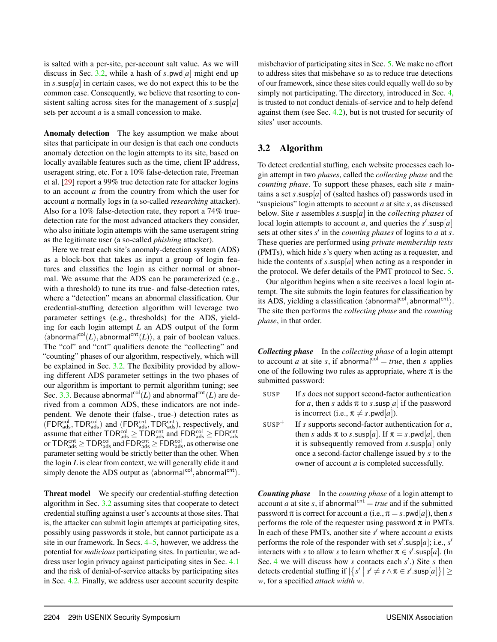is salted with a per-site, per-account salt value. As we will discuss in Sec. [3.2,](#page-4-0) while a hash of  $s$ .pwd[ $a$ ] might end up in  $s$  susp[ $a$ ] in certain cases, we do not expect this to be the common case. Consequently, we believe that resorting to consistent salting across sites for the management of  $s$ .susp[ $a$ ] sets per account *a* is a small concession to make.

Anomaly detection The key assumption we make about sites that participate in our design is that each one conducts anomaly detection on the login attempts to its site, based on locally available features such as the time, client IP address, useragent string, etc. For a 10% false-detection rate, Freeman et al. [\[29\]](#page-17-6) report a 99% true detection rate for attacker logins to an account *a* from the country from which the user for account *a* normally logs in (a so-called *researching* attacker). Also for a 10% false-detection rate, they report a 74% truedetection rate for the most advanced attackers they consider, who also initiate login attempts with the same useragent string as the legitimate user (a so-called *phishing* attacker).

Here we treat each site's anomaly-detection system (ADS) as a block-box that takes as input a group of login features and classifies the login as either normal or abnormal. We assume that the ADS can be parameterized (e.g., with a threshold) to tune its true- and false-detection rates, where a "detection" means an abnormal classification. Our credential-stuffing detection algorithm will leverage two parameter settings (e.g., thresholds) for the ADS, yielding for each login attempt *L* an ADS output of the form  $\langle$ abnormal<sup>col</sup>(*L*), abnormal<sup>cnt</sup>(*L*)), a pair of boolean values. The "col" and "cnt" qualifiers denote the "collecting" and "counting" phases of our algorithm, respectively, which will be explained in Sec. [3.2.](#page-4-0) The flexibility provided by allowing different ADS parameter settings in the two phases of our algorithm is important to permit algorithm tuning; see Sec. [3.3.](#page-5-0) Because abnormal<sup>col</sup>(*L*) and abnormal<sup>cnt</sup>(*L*) are derived from a common ADS, these indicators are not independent. We denote their (false-, true-) detection rates as  $(FDR<sub>ads</sub><sup>col</sup>, TDR<sub>ads</sub><sup>col</sup>)$  and  $(FDR<sub>ads</sub><sup>ent</sup>, TDR<sub>ads</sub><sup>ent</sup>)$ , respectively, and assume that either  $\text{TDR}_{\text{ads}}^{\text{col}} \geq \text{TDR}_{\text{ads}}^{\text{cnt}}$  and  $\text{FDR}_{\text{ads}}^{\text{col}} \geq \text{FDR}_{\text{ads}}^{\text{cnt}}$ or  $\text{TDR}_{\text{ads}}^{\text{cnt}} \geq \text{TDR}_{\text{ads}}^{\text{col}}$  and  $\text{FDR}_{\text{ads}}^{\text{cnt}} \geq \text{FDR}_{\text{ads}}^{\text{col}}$ , as otherwise one parameter setting would be strictly better than the other. When the login *L* is clear from context, we will generally elide it and simply denote the ADS output as  $\langle$ abnormal<sup>col</sup>, abnormal<sup>cnt</sup> $\rangle$ .

Threat model We specify our credential-stuffing detection algorithm in Sec. [3.2](#page-4-0) assuming sites that cooperate to detect credential stuffing against a user's accounts at those sites. That is, the attacker can submit login attempts at participating sites, possibly using passwords it stole, but cannot participate as a site in our framework. In Secs. [4](#page-8-0)[–5,](#page-10-0) however, we address the potential for *malicious* participating sites. In particular, we address user login privacy against participating sites in Sec. [4.1](#page-9-1) and the risk of denial-of-service attacks by participating sites in Sec. [4.2.](#page-9-0) Finally, we address user account security despite

misbehavior of participating sites in Sec. [5.](#page-10-0) We make no effort to address sites that misbehave so as to reduce true detections of our framework, since these sites could equally well do so by simply not participating. The directory, introduced in Sec. [4,](#page-8-0) is trusted to not conduct denials-of-service and to help defend against them (see Sec. [4.2\)](#page-9-0), but is not trusted for security of sites' user accounts.

## <span id="page-4-0"></span>3.2 Algorithm

To detect credential stuffing, each website processes each login attempt in two *phases*, called the *collecting phase* and the *counting phase*. To support these phases, each site *s* maintains a set *s*.susp[ $a$ ] of (salted hashes of) passwords used in "suspicious" login attempts to account *a* at site *s*, as discussed below. Site *s* assembles *s*.susp[*a*] in the *collecting phases* of local login attempts to account *a*, and queries the  $s'$  susp[*a*] sets at other sites  $s'$  in the *counting phases* of logins to  $a$  at  $s$ . These queries are performed using *private membership tests* (PMTs), which hide *s*'s query when acting as a requester, and hide the contents of  $s$ .susp[ $a$ ] when acting as a responder in the protocol. We defer details of the PMT protocol to Sec. [5.](#page-10-0)

Our algorithm begins when a site receives a local login attempt. The site submits the login features for classification by its ADS, yielding a classification (abnormal<sup>col</sup>, abnormal<sup>cnt</sup>). The site then performs the *collecting phase* and the *counting phase*, in that order.

*Collecting phase* In the *collecting phase* of a login attempt to account *a* at site *s*, if abnormal<sup>col</sup> = *true*, then *s* applies one of the following two rules as appropriate, where  $\pi$  is the submitted password:

- SUSP If *s* does not support second-factor authentication for *a*, then *s* adds  $\pi$  to *s*.susp[*a*] if the password is incorrect (i.e.,  $\pi \neq s$ .pwd[*a*]).
- $SUSP<sup>+</sup>$  If *s* supports second-factor authentication for *a*, then *s* adds  $\pi$  to *s*.susp[*a*]. If  $\pi = s$ .pwd[*a*], then it is subsequently removed from *s*.susp[*a*] only once a second-factor challenge issued by *s* to the owner of account *a* is completed successfully.

*Counting phase* In the *counting phase* of a login attempt to account *a* at site *s*, if abnormal<sup>cnt</sup> = *true* and if the submitted password  $\pi$  is correct for account *a* (i.e.,  $\pi = s$ . pwd[*a*]), then *s* performs the role of the requester using password  $\pi$  in PMTs. In each of these PMTs, another site  $s'$  where account  $a$  exists performs the role of the responder with set  $s'$  susp[a]; i.e.,  $s'$ interacts with *s* to allow *s* to learn whether  $\pi \in s'$  susp[*a*]. (In Sec. [4](#page-8-0) we will discuss how *s* contacts each *s'*.) Site *s* then detects credential stuffing if  $|\{s' | s' \neq s \land \pi \in s'$ .susp[a] $\}| \ge$ *w*, for a specified *attack width w*.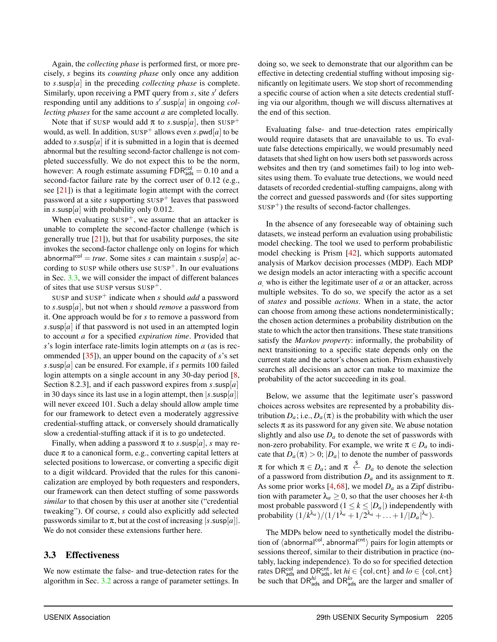Again, the *collecting phase* is performed first, or more precisely, *s* begins its *counting phase* only once any addition to *s*.susp[*a*] in the preceding *collecting phase* is complete. Similarly, upon receiving a PMT query from *s*, site *s'* defers responding until any additions to  $s'$  susp[a] in ongoing *collecting phases* for the same account *a* are completed locally.

Note that if SUSP would add  $\pi$  to *s*.susp[a], then SUSP<sup>+</sup> would, as well. In addition,  $SUSP^+$  allows even *s*.pwd[*a*] to be added to  $s$ .susp[ $a$ ] if it is submitted in a login that is deemed abnormal but the resulting second-factor challenge is not completed successfully. We do not expect this to be the norm, however: A rough estimate assuming  $FDR<sub>ads</sub><sup>col</sup> = 0.10$  and a second-factor failure rate by the correct user of 0.12 (e.g., see  $[21]$ ) is that a legitimate login attempt with the correct password at a site  $s$  supporting  $SUSP<sup>+</sup>$  leaves that password in  $s$ .susp[ $a$ ] with probability only 0.012.

When evaluating  $SUSP^+$ , we assume that an attacker is unable to complete the second-factor challenge (which is generally true  $[21]$ ), but that for usability purposes, the site invokes the second-factor challenge only on logins for which abnormal<sup>col</sup> = *true*. Some sites *s* can maintain *s*.susp[*a*] according to SUSP while others use  $SUSP^+$ . In our evaluations in Sec. [3.3,](#page-5-0) we will consider the impact of different balances of sites that use SUSP versus SUSP+.

SUSP and SUSP<sup>+</sup> indicate when *s* should *add* a password to *s*.susp[*a*], but not when *s* should *remove* a password from it. One approach would be for *s* to remove a password from *s*.susp[*a*] if that password is not used in an attempted login to account *a* for a specified *expiration time*. Provided that *s*'s login interface rate-limits login attempts on *a* (as is recommended [\[35\]](#page-17-7)), an upper bound on the capacity of *s*'s set *s*.susp[*a*] can be ensured. For example, if *s* permits 100 failed login attempts on a single account in any 30-day period [\[8,](#page-16-10) Section 8.2.3], and if each password expires from *s*.susp[*a*] in 30 days since its last use in a login attempt, then  $|s \text{ .subp}[a]|$ will never exceed 101. Such a delay should allow ample time for our framework to detect even a moderately aggressive credential-stuffing attack, or conversely should dramatically slow a credential-stuffing attack if it is to go undetected.

Finally, when adding a password  $\pi$  to *s*.susp[a], *s* may reduce π to a canonical form, e.g., converting capital letters at selected positions to lowercase, or converting a specific digit to a digit wildcard. Provided that the rules for this canonicalization are employed by both requesters and responders, our framework can then detect stuffing of some passwords *similar* to that chosen by this user at another site ("credential tweaking"). Of course, *s* could also explicitly add selected passwords similar to  $\pi$ , but at the cost of increasing  $|s$ . susp[a]. We do not consider these extensions further here.

### <span id="page-5-0"></span>3.3 Effectiveness

We now estimate the false- and true-detection rates for the algorithm in Sec. [3.2](#page-4-0) across a range of parameter settings. In doing so, we seek to demonstrate that our algorithm can be effective in detecting credential stuffing without imposing significantly on legitimate users. We stop short of recommending a specific course of action when a site detects credential stuffing via our algorithm, though we will discuss alternatives at the end of this section.

Evaluating false- and true-detection rates empirically would require datasets that are unavailable to us. To evaluate false detections empirically, we would presumably need datasets that shed light on how users both set passwords across websites and then try (and sometimes fail) to log into websites using them. To evaluate true detections, we would need datasets of recorded credential-stuffing campaigns, along with the correct and guessed passwords and (for sites supporting  $SUSP<sup>+</sup>$ ) the results of second-factor challenges.

In the absence of any foreseeable way of obtaining such datasets, we instead perform an evaluation using probabilistic model checking. The tool we used to perform probabilistic model checking is Prism [\[42\]](#page-17-14), which supports automated analysis of Markov decision processes (MDP). Each MDP we design models an actor interacting with a specific account *a*, who is either the legitimate user of *a* or an attacker, across multiple websites. To do so, we specify the actor as a set of *states* and possible *actions*. When in a state, the actor can choose from among these actions nondeterministically; the chosen action determines a probability distribution on the state to which the actor then transitions. These state transitions satisfy the *Markov property*: informally, the probability of next transitioning to a specific state depends only on the current state and the actor's chosen action. Prism exhaustively searches all decisions an actor can make to maximize the probability of the actor succeeding in its goal.

Below, we assume that the legitimate user's password choices across websites are represented by a probability distribution  $D_a$ ; i.e.,  $D_a(\pi)$  is the probability with which the user selects  $\pi$  as its password for any given site. We abuse notation slightly and also use  $D_a$  to denote the set of passwords with non-zero probability. For example, we write  $\pi \in D_a$  to indicate that  $D_a(\pi) > 0$ ;  $|D_a|$  to denote the number of passwords  $\pi$  for which  $\pi \in D_a$ ; and  $\pi \stackrel{\$}{\leftarrow} D_a$  to denote the selection of a password from distribution  $D_a$  and its assignment to  $\pi$ . As some prior works  $[4, 68]$  $[4, 68]$  $[4, 68]$ , we model  $D<sub>a</sub>$  as a Zipf distribution with parameter  $\lambda_a \geq 0$ , so that the user chooses her *k*-th most probable password ( $1 \leq k \leq |D_a|$ ) independently with probability  $(1/k^{\lambda_a})/(1/1^{\lambda_a} + 1/2^{\lambda_a} + ... + 1/|D_a|^{\lambda_a}).$ 

The MDPs below need to synthetically model the distribution of  $\langle$ abnormal<sup>col</sup>, abnormal<sup>cnt</sup> $\rangle$  pairs for login attempts or sessions thereof, similar to their distribution in practice (notably, lacking independence). To do so for specified detection rates  $\text{DR}_{\text{ads}}^{\text{col}}$  and  $\text{DR}_{\text{ads}}^{\text{cnt}}$ , let  $hi \in \{\text{col}, \text{cnt}\}$  and  $lo \in \{\text{col}, \text{cnt}\}$ be such that  $DR_{ads}^{hi}$  and  $DR_{ads}^{lo}$  are the larger and smaller of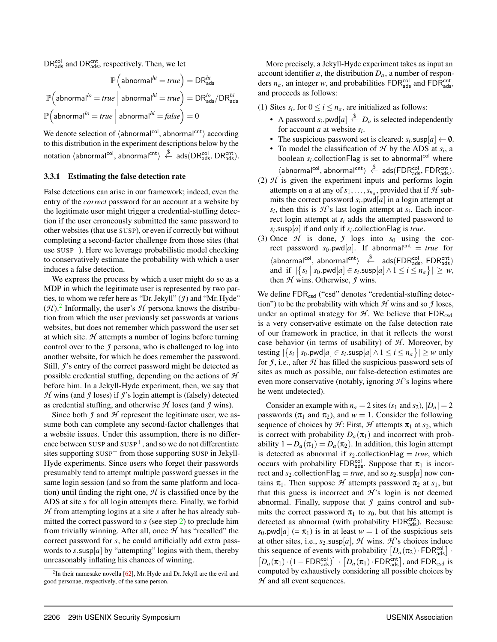$DR<sub>ads</sub><sub>ads</sub>$  and  $DR<sub>ads</sub><sub>ads</sub>$ , respectively. Then, we let

$$
\mathbb{P}\left(\text{abnormal}^{hi} = true\right) = \text{DR}_{\text{ads}}^{hi}
$$
\n
$$
\mathbb{P}\left(\text{abnormal}^{lo} = true \mid \text{abnormal}^{hi} = true\right) = \text{DR}_{\text{ads}}^{lo}/\text{DR}_{\text{ads}}^{hi}
$$
\n
$$
\mathbb{P}\left(\text{abnormal}^{lo} = true \mid \text{abnormal}^{hi} = false\right) = 0
$$

We denote selection of  $\langle$ abnormal<sup>col</sup>, abnormal<sup>cnt</sup> $\rangle$  according to this distribution in the experiment descriptions below by the  $\ket{\rm notation\ \langle abnormal}^{\rm col},\,ab{\rm normal}^{\rm cnt}\rangle\ \stackrel{\$}{\leftarrow}\ \text{\rm ads}(\text{\rm DR}_{\rm ads}^{\rm col},\, \text{\rm DR}_{\rm ads}^{\rm cnt}).$ 

#### 3.3.1 Estimating the false detection rate

False detections can arise in our framework; indeed, even the entry of the *correct* password for an account at a website by the legitimate user might trigger a credential-stuffing detection if the user erroneously submitted the same password to other websites (that use SUSP), or even if correctly but without completing a second-factor challenge from those sites (that use  $SUSP<sup>+</sup>$ ). Here we leverage probabilistic model checking to conservatively estimate the probability with which a user induces a false detection.

We express the process by which a user might do so as a MDP in which the legitimate user is represented by two parties, to whom we refer here as "Dr. Jekyll" (*J*) and "Mr. Hyde"  $(\mathcal{H})$ .<sup>[2](#page-6-0)</sup> Informally, the user's  $\mathcal{H}$  persona knows the distribution from which the user previously set passwords at various websites, but does not remember which password the user set at which site. *H* attempts a number of logins before turning control over to the *J* persona, who is challenged to log into another website, for which he does remember the password. Still, *J*'s entry of the correct password might be detected as possible credential stuffing, depending on the actions of *H* before him. In a Jekyll-Hyde experiment, then, we say that *H* wins (and *J* loses) if *J*'s login attempt is (falsely) detected as credential stuffing, and otherwise *H* loses (and *J* wins).

Since both *J* and *H* represent the legitimate user, we assume both can complete any second-factor challenges that a website issues. Under this assumption, there is no difference between SUSP and  $SUSP^+$ , and so we do not differentiate sites supporting  $SUSP<sup>+</sup>$  from those supporting  $SUSP$  in Jekyll-Hyde experiments. Since users who forget their passwords presumably tend to attempt multiple password guesses in the same login session (and so from the same platform and location) until finding the right one,  $H$  is classified once by the ADS at site *s* for all login attempts there. Finally, we forbid *H* from attempting logins at a site *s* after he has already submitted the correct password to *s* (see step [2\)](#page-6-1) to preclude him from trivially winning. After all, once *H* has "recalled" the correct password for *s*, he could artificially add extra passwords to  $s$  susp[ $a$ ] by "attempting" logins with them, thereby unreasonably inflating his chances of winning.

More precisely, a Jekyll-Hyde experiment takes as input an account identifier  $a$ , the distribution  $D_a$ , a number of responders  $n_a$ , an integer *w*, and probabilities  $FDR_{ads}^{col}$  and  $FDR_{ads}^{cont}$ , and proceeds as follows:

- (1) Sites  $s_i$ , for  $0 \le i \le n_a$ , are initialized as follows:
	- A password  $s_i$  pwd $[a] \stackrel{\$}{\leftarrow} D_a$  is selected independently for account *a* at website *s<sup>i</sup>* .
	- The suspicious password set is cleared:  $s_i$  susp[ $a$ ]  $\leftarrow \emptyset$ .
	- To model the classification of  $H$  by the ADS at  $s_i$ , a boolean  $s_i$  collectionFlag is set to abnormal<sup>col</sup> where  $\langle\textsf{abnormal}^{\textsf{col}},\textsf{abnormal}^{\textsf{cnt}}\rangle\overset{\$}{\leftarrow}\textsf{ads}(\textsf{FDR}_{\textsf{ads}}^{\textsf{col}},\textsf{FDR}_{\textsf{ads}}^{\textsf{cnt}}).$
- <span id="page-6-1"></span>(2)  $H$  is given the experiment inputs and performs login attempts on *a* at any of  $s_1, \ldots, s_{n_a}$ , provided that if  $H$  submits the correct password  $s_i$  pwd $[a]$  in a login attempt at  $s_i$ , then this is  $H$ 's last login attempt at  $s_i$ . Each incorrect login attempt at *s<sup>i</sup>* adds the attempted password to *si* .susp[*a*] if and only if *s<sup>i</sup>* .collectionFlag is *true*.
- (3) Once  $H$  is done,  $J$  logs into  $s_0$  using the correct password  $s_0$ .pwd[a]. If abnormal<sup>cnt</sup> = *true* for  $\langle$ abnormal<sup>col</sup>, abnormal<sup>cnt</sup> $\rangle \stackrel{\$}{\leftarrow}$  ads(FDR $_{ads}^{col}$ , FDR $_{ads}^{cnt}$ ) and if  $|\{s_i \mid s_0.\text{pwd}[a] \in s_i.\text{susp}[a] \land 1 \le i \le n_a\}| \ge w$ , then *H* wins. Otherwise, *J* wins.

We define FDR<sub>csd</sub> ("csd" denotes "credential-stuffing detection") to be the probability with which  $H$  wins and so  $\mathcal I$  loses, under an optimal strategy for  $H$ . We believe that  $FDR_{csd}$ is a very conservative estimate on the false detection rate of our framework in practice, in that it reflects the worst case behavior (in terms of usability) of  $H$ . Moreover, by testing  $|\{s_i \mid s_0.\text{pwd}[a] \in s_i.\text{susp}[a] \land 1 \le i \le n_a\}| \ge w \text{ only}$ for  $\mathcal{I}$ , i.e., after  $\mathcal{H}$  has filled the suspicious password sets of sites as much as possible, our false-detection estimates are even more conservative (notably, ignoring *H* 's logins where he went undetected).

Consider an example with  $n_a = 2$  sites  $(s_1 \text{ and } s_2)$ ,  $|D_a| = 2$ passwords ( $\pi_1$  and  $\pi_2$ ), and  $w = 1$ . Consider the following sequence of choices by  $H$ : First,  $H$  attempts  $\pi_1$  at  $s_2$ , which is correct with probability  $D_a(\pi_1)$  and incorrect with probability  $1 - D_a(\pi_1) = D_a(\pi_2)$ . In addition, this login attempt is detected as abnormal if  $s_2$  collectionFlag = *true*, which occurs with probability  $FDR<sub>ads</sub><sup>col</sup>$ . Suppose that  $\pi_1$  is incorrect and  $s_2$  collectionFlag = *true*, and so  $s_2$  susp[*a*] now contains  $\pi_1$ . Then suppose *H* attempts password  $\pi_2$  at  $s_1$ , but that this guess is incorrect and  $H$ 's login is not deemed abnormal. Finally, suppose that *J* gains control and submits the correct password  $\pi_1$  to  $s_0$ , but that his attempt is detected as abnormal (with probability FDRcnt). Because  $s_0$ .pwd[*a*] (=  $\pi_1$ ) is in at least  $w = 1$  of the suspicious sets at other sites, i.e.,  $s_2$  susp[a],  $H$  wins.  $H$ 's choices induce this sequence of events with probability  $[D_a(\pi_2) \cdot \text{FDR}_{\text{ads}}^{\text{col}}]$ .  $[D_a(\pi_1) \cdot (1 - \text{FDR}_{ads}^{\text{col}})] \cdot [D_a(\pi_1) \cdot \text{FDR}_{ads}^{\text{cnt}}]$ , and  $\text{FDR}_{csd}$  is computed by exhaustively considering all possible choices by *H* and all event sequences.

<span id="page-6-0"></span> $2$ In their namesake novella [\[62\]](#page-18-12), Mr. Hyde and Dr. Jekyll are the evil and good personae, respectively, of the same person.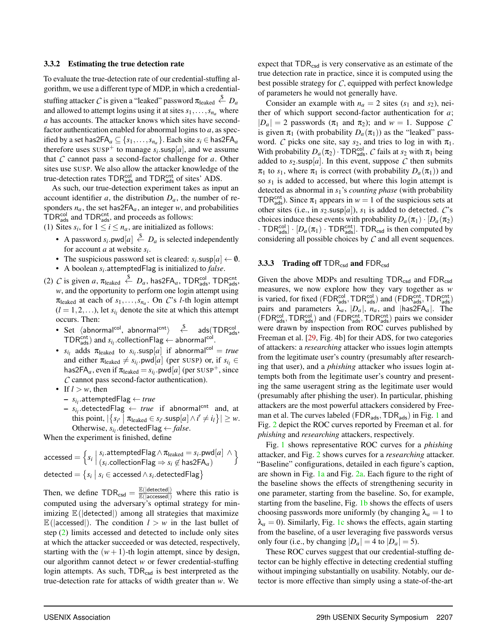#### 3.3.2 Estimating the true detection rate

To evaluate the true-detection rate of our credential-stuffing algorithm, we use a different type of MDP, in which a credentialstuffing attacker  $\mathcal C$  is given a "leaked" password  $\pi_\text{leaked} \overset{\$}{\leftarrow} D_a$ and allowed to attempt logins using it at sites  $s_1, \ldots, s_n$  where *a* has accounts. The attacker knows which sites have secondfactor authentication enabled for abnormal logins to *a*, as specified by a set has2FA $_a \subseteq \{s_1, \ldots, s_{n_a}\}$ . Each site  $s_i \in \mathsf{has2FA}_a$ therefore uses  $sUSP^+$  to manage  $s_i$  susp[a], and we assume that *C* cannot pass a second-factor challenge for *a*. Other sites use SUSP. We also allow the attacker knowledge of the true-detection rates  $\text{TDR}_{\text{ads}}^{\text{col}}$  and  $\text{TDR}_{\text{ads}}^{\text{cnt}}$  of sites' ADS.

As such, our true-detection experiment takes as input an account identifier *a*, the distribution  $D_a$ , the number of responders  $n_a$ , the set has  $2FA_a$ , an integer *w*, and probabilities  $TDR<sub>ads</sub><sup>col</sup>$  and  $TDR<sub>ads</sub><sup>ent</sup>$ , and proceeds as follows:

- (1) Sites  $s_i$ , for  $1 \le i \le n_a$ , are initialized as follows:
	- A password  $s_i$  pwd $[a] \stackrel{\$}{\leftarrow} D_a$  is selected independently for account *a* at website *s<sup>i</sup>* .
	- The suspicious password set is cleared:  $s_i$  susp[ $a$ ]  $\leftarrow \emptyset$ .
	- A boolean *s<sup>i</sup>* .attemptedFlag is initialized to *false*.
- <span id="page-7-0"></span>(2) *C* is given *a*,  $\pi_{\text{leaked}} \stackrel{\$}{\leftarrow} D_a$ , has2FA<sub>*a*</sub>, TDR<sup>col</sup>, TDR<sup>cot</sup><sub>ads</sub>, *w*, and the opportunity to perform one login attempt using  $\pi_{\text{leaked}}$  at each of  $s_1, \ldots, s_{n_a}$ . On *C*'s *l*-th login attempt  $(l = 1, 2, \ldots)$ , let  $s_{i_l}$  denote the site at which this attempt occurs. Then:
	- Set  $\langle$ abnormal<sup>col</sup>, abnormal<sup>cnt</sup> $\rangle$   $\stackrel{\$}{\leftarrow}$  ads $(\text{TDR}_{\text{ads}}^{\text{col}},$  $TDR_{ads}^{cnt}$ ) and  $s_{i_l}$  collectionFlag  $\leftarrow$  abnormal<sup>col</sup>.
	- $s_{i_l}$  adds  $\pi_{\text{leaked}}$  to  $s_{i_l}$ .susp[*a*] if abnormal<sup>col</sup> = *true* and either  $\pi_{\text{leaked}} \neq s_{i_l}$ .pwd[*a*] (per SUSP) or, if  $s_{i_l} \in$ has2FA<sub>a</sub>, even if  $\pi_{\text{leaked}} = s_{i_l}$ .pwd[*a*] (per SUSP<sup>+</sup>, since *C* cannot pass second-factor authentication).
	- If  $l > w$ , then
		- *si<sup>l</sup>* .attemptedFlag ← *true*
		- $s_{i_l}$  detectedFlag  $\leftarrow true$  if abnormal<sup>cnt</sup> and, at this point,  $|\{s_{i'} | \pi_{\text{leaked}} \in s_{i'}.\text{susp}[a] \land i' \neq i_l\}| \geq w$ . Otherwise,  $s_{i_l}$  detectedFlag  $\leftarrow false$ .

When the experiment is finished, define

$$
accessed = \left\{ s_i \mid \begin{array}{l} s_i.\text{attemptedFlag} \land \pi_{\text{leaked}} = s_i.\text{pwd}[a] \land \\ (s_i.\text{collectionFlag} \Rightarrow s_i \not\in \text{has2FA}_a) \end{array} \right\}
$$
  
detected = 
$$
\left\{ s_i \mid s_i \in accessed \land s_i.\text{detectedFlag} \right\}
$$

Then, we define  $TDR_{csd} = \frac{\mathbb{E}(|\text{detected}|)}{\mathbb{E}(|\text{acressed}|)}$  $\frac{E(|\text{detected}|)}{E(|\text{accessed}|)}$  where this ratio is computed using the adversary's optimal strategy for minimizing  $\mathbb{E}$ ( $|$ detected $|$ ) among all strategies that maximize  $\mathbb{E}$ (|accessed|). The condition  $l > w$  in the last bullet of step [\(2\)](#page-7-0) limits accessed and detected to include only sites at which the attacker succeeded or was detected, respectively, starting with the  $(w + 1)$ -th login attempt, since by design, our algorithm cannot detect *w* or fewer credential-stuffing login attempts. As such, TDR<sub>csd</sub> is best interpreted as the true-detection rate for attacks of width greater than *w*. We

expect that  $TDR_{csd}$  is very conservative as an estimate of the true detection rate in practice, since it is computed using the best possible strategy for *C*, equipped with perfect knowledge of parameters he would not generally have.

Consider an example with  $n_a = 2$  sites ( $s_1$  and  $s_2$ ), neither of which support second-factor authentication for *a*;  $|D_a| = 2$  passwords  $(\pi_1 \text{ and } \pi_2)$ ; and  $w = 1$ . Suppose C is given  $\pi_1$  (with probability  $D_a(\pi_1)$ ) as the "leaked" password. *C* picks one site, say  $s_2$ , and tries to log in with  $\pi_1$ . With probability  $D_a(\pi_2) \cdot \text{TDR}_{\text{ads}}^{\text{col}}, C$  fails at  $s_2$  with  $\pi_1$  being added to  $s_2$  susp[a]. In this event, suppose  $C$  then submits  $\pi_1$  to  $s_1$ , where  $\pi_1$  is correct (with probability  $D_a(\pi_1)$ ) and so *s*<sup>1</sup> is added to accessed, but where this login attempt is detected as abnormal in *s*1's *counting phase* (with probability TDR<sup>cnt</sup><sub>ads</sub>). Since  $\pi_1$  appears in  $w = 1$  of the suspicious sets at other sites (i.e., in  $s_2$  susp[a]),  $s_1$  is added to detected. *C*'s choices induce these events with probability  $D_a(\pi_1) \cdot [D_a(\pi_2)]$  $\cdot$  TDR<sup>col</sup><sub>ads</sub>]  $\cdot$  [D<sub>*a*</sub>( $\pi$ <sub>1</sub>)  $\cdot$  TDR<sup>cot</sup><sub>ads</sub>]. TDR<sub>csd</sub> is then computed by considering all possible choices by *C* and all event sequences.

#### 3.3.3 Trading off  $TDR_{csd}$  and  $FDR_{csd}$

Given the above MDPs and resulting  $TDR_{csd}$  and  $FDR_{csd}$ measures, we now explore how they vary together as *w* is varied, for fixed ( $FDR_{ads}^{col}$ ,  $TDR_{ads}^{col}$ ) and ( $FDR_{ads}^{cont}$ ,  $TDR_{ads}^{cont}$ ) pairs and parameters  $\lambda_a$ ,  $|D_a|$ ,  $n_a$ , and  $|has 2FA_a|$ . The (FDR<sup>col</sup>, TDR<sup>col</sup>) and (FDR<sup>cnt</sup>, TDR<sup>cnt</sup>) pairs we consider were drawn by inspection from ROC curves published by Freeman et al. [\[29,](#page-17-6) Fig. 4b] for their ADS, for two categories of attackers: a *researching* attacker who issues login attempts from the legitimate user's country (presumably after researching that user), and a *phishing* attacker who issues login attempts both from the legitimate user's country and presenting the same useragent string as the legitimate user would (presumably after phishing the user). In particular, phishing attackers are the most powerful attackers considered by Freeman et al. The curves labeled ( $FDR_{ads}$ ,  $TDR_{ads}$ ) in Fig. [1](#page-8-1) and Fig. [2](#page-8-2) depict the ROC curves reported by Freeman et al. for *phishing* and *researching* attackers, respectively.

Fig. [1](#page-8-1) shows representative ROC curves for a *phishing* attacker, and Fig. [2](#page-8-2) shows curves for a *researching* attacker. "Baseline" configurations, detailed in each figure's caption, are shown in Fig. [1a](#page-8-1) and Fig. [2a.](#page-8-2) Each figure to the right of the baseline shows the effects of strengthening security in one parameter, starting from the baseline. So, for example, starting from the baseline, Fig. [1b](#page-8-1) shows the effects of users choosing passwords more uniformly (by changing  $\lambda_a = 1$  to  $\lambda_a = 0$ ). Similarly, Fig. [1c](#page-8-1) shows the effects, again starting from the baseline, of a user leveraging five passwords versus only four (i.e., by changing  $|D_a| = 4$  to  $|D_a| = 5$ ).

These ROC curves suggest that our credential-stuffing detector can be highly effective in detecting credential stuffing without impinging substantially on usability. Notably, our detector is more effective than simply using a state-of-the-art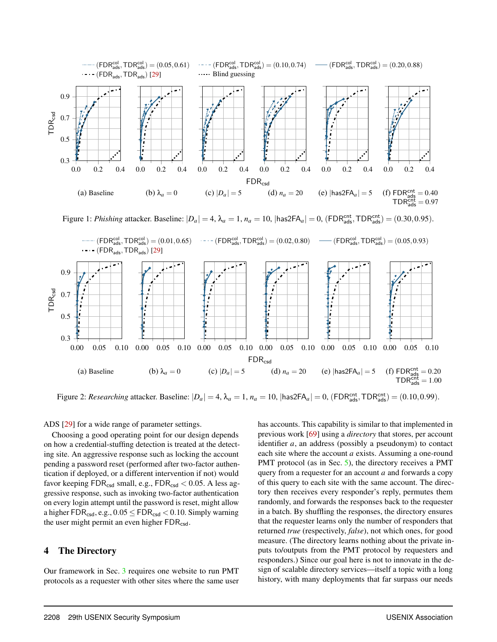<span id="page-8-1"></span>

Figure 1: *Phishing* attacker. Baseline:  $|D_a| = 4$ ,  $\lambda_a = 1$ ,  $n_a = 10$ ,  $|\text{has2FA}_a| = 0$ ,  $(\text{FDR}_{\text{ads}}^{\text{cnt}}, \text{TDR}_{\text{ads}}^{\text{cnt}}) = (0.30, 0.95)$ .

<span id="page-8-2"></span>

Figure 2: *Researching* attacker. Baseline:  $|D_a| = 4$ ,  $\lambda_a = 1$ ,  $n_a = 10$ ,  $|\text{has2FA}_a| = 0$ ,  $(\text{FDR}_{\text{ads}}^{\text{cnt}}, \text{TDR}_{\text{ads}}^{\text{cnt}}) = (0.10, 0.99)$ .

ADS [\[29\]](#page-17-6) for a wide range of parameter settings.

Choosing a good operating point for our design depends on how a credential-stuffing detection is treated at the detecting site. An aggressive response such as locking the account pending a password reset (performed after two-factor authentication if deployed, or a different intervention if not) would favor keeping  $FDR_{csd}$  small, e.g.,  $FDR_{csd} < 0.05$ . A less aggressive response, such as invoking two-factor authentication on every login attempt until the password is reset, might allow a higher  $\text{FDR}_{\text{csd}}$ , e.g.,  $0.05 \leq \text{FDR}_{\text{csd}} < 0.10$ . Simply warning the user might permit an even higher  $FDR_{csd}$ .

## <span id="page-8-0"></span>4 The Directory

Our framework in Sec. [3](#page-3-0) requires one website to run PMT protocols as a requester with other sites where the same user has accounts. This capability is similar to that implemented in previous work [\[69\]](#page-18-6) using a *directory* that stores, per account identifier *a*, an address (possibly a pseudonym) to contact each site where the account *a* exists. Assuming a one-round PMT protocol (as in Sec. [5\)](#page-10-0), the directory receives a PMT query from a requester for an account *a* and forwards a copy of this query to each site with the same account. The directory then receives every responder's reply, permutes them randomly, and forwards the responses back to the requester in a batch. By shuffling the responses, the directory ensures that the requester learns only the number of responders that returned *true* (respectively, *false*), not which ones, for good measure. (The directory learns nothing about the private inputs to/outputs from the PMT protocol by requesters and responders.) Since our goal here is not to innovate in the design of scalable directory services—itself a topic with a long history, with many deployments that far surpass our needs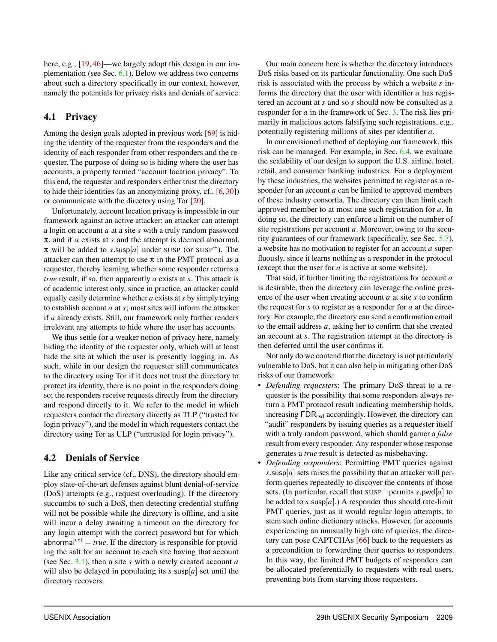here, e.g., [\[19,](#page-16-12) [46\]](#page-17-15)—we largely adopt this design in our implementation (see Sec. [6.1\)](#page-14-0). Below we address two concerns about such a directory specifically in our context, however, namely the potentials for privacy risks and denials of service.

## <span id="page-9-1"></span>4.1 Privacy

Among the design goals adopted in previous work [\[69\]](#page-18-6) is hiding the identity of the requester from the responders and the identity of each responder from other responders and the requester. The purpose of doing so is hiding where the user has accounts, a property termed "account location privacy". To this end, the requester and responders either trust the directory to hide their identities (as an anonymizing proxy, cf., [\[6,](#page-16-13) [30\]](#page-17-16)) or communicate with the directory using Tor [\[20\]](#page-16-2).

Unfortunately, account location privacy is impossible in our framework against an active attacker: an attacker can attempt a login on account *a* at a site *s* with a truly random password π, and if *a* exists at *s* and the attempt is deemed abnormal,  $\pi$  will be added to *s*.susp[a] under SUSP (or SUSP<sup>+</sup>). The attacker can then attempt to use  $\pi$  in the PMT protocol as a requester, thereby learning whether some responder returns a *true* result; if so, then apparently *a* exists at *s*. This attack is of academic interest only, since in practice, an attacker could equally easily determine whether *a* exists at*s* by simply trying to establish account *a* at *s*; most sites will inform the attacker if *a* already exists. Still, our framework only further renders irrelevant any attempts to hide where the user has accounts.

We thus settle for a weaker notion of privacy here, namely hiding the identity of the requester only, which will at least hide the site at which the user is presently logging in. As such, while in our design the requester still communicates to the directory using Tor if it does not trust the directory to protect its identity, there is no point in the responders doing so; the responders receive requests directly from the directory and respond directly to it. We refer to the model in which requesters contact the directory directly as TLP ("trusted for login privacy"), and the model in which requesters contact the directory using Tor as ULP ("untrusted for login privacy").

## <span id="page-9-0"></span>4.2 Denials of Service

Like any critical service (cf., DNS), the directory should employ state-of-the-art defenses against blunt denial-of-service (DoS) attempts (e.g., request overloading). If the directory succumbs to such a DoS, then detecting credential stuffing will not be possible while the directory is offline, and a site will incur a delay awaiting a timeout on the directory for any login attempt with the correct password but for which abnormal<sup>cnt</sup> = *true*. If the directory is responsible for providing the salt for an account to each site having that account (see Sec. [3.1\)](#page-3-1), then a site *s* with a newly created account *a* will also be delayed in populating its  $s$  susp $[a]$  set until the directory recovers.

Our main concern here is whether the directory introduces DoS risks based on its particular functionality. One such DoS risk is associated with the process by which a website *s* informs the directory that the user with identifier *a* has registered an account at *s* and so *s* should now be consulted as a responder for *a* in the framework of Sec. [3.](#page-3-0) The risk lies primarily in malicious actors falsifying such registrations, e.g., potentially registering millions of sites per identifier *a*.

In our envisioned method of deploying our framework, this risk can be managed. For example, in Sec. [6.4,](#page-15-0) we evaluate the scalability of our design to support the U.S. airline, hotel, retail, and consumer banking industries. For a deployment by these industries, the websites permitted to register as a responder for an account *a* can be limited to approved members of these industry consortia. The directory can then limit each approved member to at most one such registration for *a*. In doing so, the directory can enforce a limit on the number of site registrations per account *a*. Moreover, owing to the security guarantees of our framework (specifically, see Sec. [5.7\)](#page-13-1), a website has no motivation to register for an account *a* superfluously, since it learns nothing as a responder in the protocol (except that the user for *a* is active at some website).

That said, if further limiting the registrations for account *a* is desirable, then the directory can leverage the online presence of the user when creating account *a* at site *s* to confirm the request for *s* to register as a responder for *a* at the directory. For example, the directory can send a confirmation email to the email address *a*, asking her to confirm that she created an account at *s*. The registration attempt at the directory is then deferred until the user confirms it.

Not only do we contend that the directory is not particularly vulnerable to DoS, but it can also help in mitigating other DoS risks of our framework:

- *Defending requesters*: The primary DoS threat to a requester is the possibility that some responders always return a PMT protocol result indicating membership holds, increasing FDR<sub>csd</sub> accordingly. However, the directory can "audit" responders by issuing queries as a requester itself with a truly random password, which should garner a *false* result from every responder. Any responder whose response generates a *true* result is detected as misbehaving.
- *Defending responders*: Permitting PMT queries against  $s$ .susp[ $a$ ] sets raises the possibility that an attacker will perform queries repeatedly to discover the contents of those sets. (In particular, recall that  $SUSP^+$  permits *s*.pwd[*a*] to be added to  $s$ .susp[ $a$ ].) A responder thus should rate-limit PMT queries, just as it would regular login attempts, to stem such online dictionary attacks. However, for accounts experiencing an unusually high rate of queries, the directory can pose CAPTCHAs [\[66\]](#page-18-13) back to the requesters as a precondition to forwarding their queries to responders. In this way, the limited PMT budgets of responders can be allocated preferentially to requesters with real users, preventing bots from starving those requesters.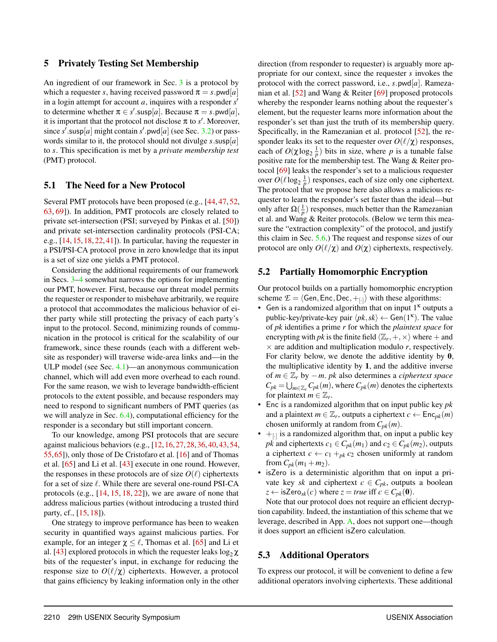### <span id="page-10-0"></span>5 Privately Testing Set Membership

An ingredient of our framework in Sec. [3](#page-3-0) is a protocol by which a requester *s*, having received password  $\pi = s$ .pwd[*a*] in a login attempt for account  $a$ , inquires with a responder  $s'$ to determine whether  $\pi \in s'$ .susp[*a*]. Because  $\pi = s$ .pwd[*a*], it is important that the protocol not disclose  $\pi$  to  $s'$ . Moreover, since  $s'$  susp[ $a$ ] might contain  $s'$  pwd[ $a$ ] (see Sec. [3.2\)](#page-4-0) or passwords similar to it, the protocol should not divulge *s*.susp[*a*] to *s*. This specification is met by a *private membership test* (PMT) protocol.

### 5.1 The Need for a New Protocol

Several PMT protocols have been proposed (e.g., [\[44,](#page-17-17) [47,](#page-17-18) [52,](#page-18-14) [63,](#page-18-15) [69\]](#page-18-6)). In addition, PMT protocols are closely related to private set-intersection (PSI; surveyed by Pinkas et al. [\[50\]](#page-17-19)) and private set-intersection cardinality protocols (PSI-CA; e.g., [\[14,](#page-16-14) [15,](#page-16-15) [18,](#page-16-16) [22,](#page-16-17) [41\]](#page-17-20)). In particular, having the requester in a PSI/PSI-CA protocol prove in zero knowledge that its input is a set of size one yields a PMT protocol.

Considering the additional requirements of our framework in Secs. [3](#page-3-0)[–4](#page-8-0) somewhat narrows the options for implementing our PMT, however. First, because our threat model permits the requester or responder to misbehave arbitrarily, we require a protocol that accommodates the malicious behavior of either party while still protecting the privacy of each party's input to the protocol. Second, minimizing rounds of communication in the protocol is critical for the scalability of our framework, since these rounds (each with a different website as responder) will traverse wide-area links and—in the ULP model (see Sec. [4.1\)](#page-9-1)—an anonymous communication channel, which will add even more overhead to each round. For the same reason, we wish to leverage bandwidth-efficient protocols to the extent possible, and because responders may need to respond to significant numbers of PMT queries (as we will analyze in Sec. [6.4\)](#page-15-0), computational efficiency for the responder is a secondary but still important concern.

To our knowledge, among PSI protocols that are secure against malicious behaviors (e.g., [\[12,](#page-16-18)[16,](#page-16-19)[27,](#page-17-21)[28,](#page-17-22)[36,](#page-17-23)[40,](#page-17-24)[43,](#page-17-8)[54,](#page-18-16) [55,](#page-18-17)[65\]](#page-18-7)), only those of De Cristofaro et al. [\[16\]](#page-16-19) and of Thomas et al. [\[65\]](#page-18-7) and Li et al. [\[43\]](#page-17-8) execute in one round. However, the responses in these protocols are of size  $O(\ell)$  ciphertexts for a set of size  $\ell$ . While there are several one-round PSI-CA protocols (e.g., [\[14,](#page-16-14) [15,](#page-16-15) [18,](#page-16-16) [22\]](#page-16-17)), we are aware of none that address malicious parties (without introducing a trusted third party, cf., [\[15,](#page-16-15) [18\]](#page-16-16)).

One strategy to improve performance has been to weaken security in quantified ways against malicious parties. For example, for an integer  $\chi \leq \ell$ , Thomas et al. [\[65\]](#page-18-7) and Li et al. [\[43\]](#page-17-8) explored protocols in which the requester leaks  $\log_2 \chi$ bits of the requester's input, in exchange for reducing the response size to  $O(\ell/\chi)$  ciphertexts. However, a protocol that gains efficiency by leaking information only in the other

direction (from responder to requester) is arguably more appropriate for our context, since the requester *s* invokes the protocol with the correct password, i.e., *s*.pwd[*a*]. Ramezanian et al. [\[52\]](#page-18-14) and Wang & Reiter [\[69\]](#page-18-6) proposed protocols whereby the responder learns nothing about the requester's element, but the requester learns more information about the responder's set than just the truth of its membership query. Specifically, in the Ramezanian et al. protocol [\[52\]](#page-18-14), the responder leaks its set to the requester over  $O(\ell/\chi)$  responses, each of  $O(\chi \log_2 \frac{1}{p})$  bits in size, where *p* is a tunable false positive rate for the membership test. The Wang & Reiter protocol [\[69\]](#page-18-6) leaks the responder's set to a malicious requester over  $O(\ell \log_2 \frac{1}{p})$  responses, each of size only one ciphertext. The protocol that we propose here also allows a malicious requester to learn the responder's set faster than the ideal—but only after  $\Omega(\frac{1}{p})$  responses, much better than the Ramezanian et al. and Wang & Reiter protocols. (Below we term this measure the "extraction complexity" of the protocol, and justify this claim in Sec. [5.6.](#page-12-0)) The request and response sizes of our protocol are only  $O(\ell/\chi)$  and  $O(\chi)$  ciphertexts, respectively.

#### <span id="page-10-1"></span>5.2 Partially Homomorphic Encryption

Our protocol builds on a partially homomorphic encryption scheme  $\mathcal{E} = \langle$  Gen, Enc, Dec,  $+_{[-]}\rangle$  with these algorithms:

- Gen is a randomized algorithm that on input  $1^k$  outputs a public-key/private-key pair  $\langle pk, sk \rangle \leftarrow$  Gen(1<sup> $\kappa$ </sup>). The value of *pk* identifies a prime *r* for which the *plaintext space* for encrypting with  $pk$  is the finite field  $\langle \mathbb{Z}_r, +, \times \rangle$  where  $+$  and  $\times$  are addition and multiplication modulo *r*, respectively. For clarity below, we denote the additive identity by 0, the multiplicative identity by 1, and the additive inverse of *m* ∈ Z*<sup>r</sup>* by −*m*. *pk* also determines a *ciphertext space*  $C_{pk} = \bigcup_{m \in \mathbb{Z}_r} C_{pk}(m)$ , where  $C_{pk}(m)$  denotes the ciphertexts for plaintext  $m \in \mathbb{Z}_r$ .
- Enc is a randomized algorithm that on input public key *pk* and a plaintext  $m \in \mathbb{Z}_r$ , outputs a ciphertext  $c \leftarrow \mathsf{Enc}_{pk}(m)$ chosen uniformly at random from  $C_{pk}(m)$ .
- $\bullet$  +  $\uparrow$  is a randomized algorithm that, on input a public key *pk* and ciphertexts  $c_1 \in C_{pk}(m_1)$  and  $c_2 \in C_{pk}(m_2)$ , outputs a ciphertext  $c \leftarrow c_1 +_{pk} c_2$  chosen uniformly at random from  $C_{pk}(m_1 + m_2)$ .
- isZero is a deterministic algorithm that on input a private key *sk* and ciphertext  $c \in C_{pk}$ , outputs a boolean  $z \leftarrow$  isZero<sub>sk</sub> $(c)$  where  $z = true$  iff  $c \in C_{pk}(\mathbf{0})$ .

Note that our protocol does not require an efficient decryption capability. Indeed, the instantiation of this scheme that we leverage, described in App. [A,](#page-18-18) does not support one—though it does support an efficient isZero calculation.

### 5.3 Additional Operators

To express our protocol, it will be convenient to define a few additional operators involving ciphertexts. These additional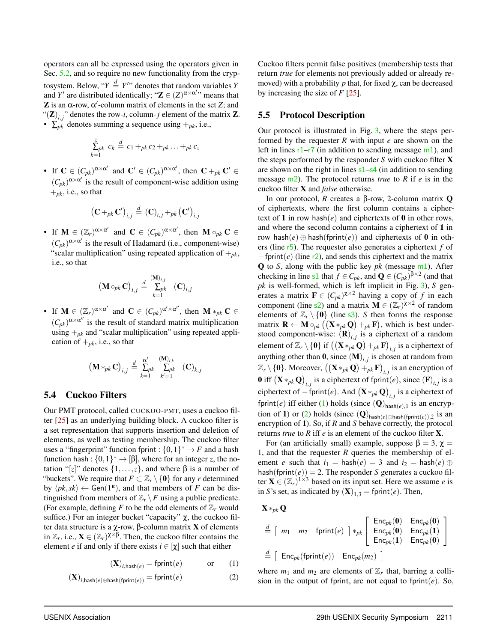operators can all be expressed using the operators given in Sec. [5.2,](#page-10-1) and so require no new functionality from the cryptosystem. Below, " $Y \stackrel{d}{=} Y''$  denotes that random variables *Y* and *Y'* are distributed identically; " $\mathbf{Z} \in (Z)^{\alpha \times \alpha'}$ " means that Z is an  $\alpha$ -row,  $\alpha'$ -column matrix of elements in the set Z; and " $(\mathbf{Z})_{i,j}$ " denotes the row-*i*, column-*j* element of the matrix **Z**. •  $\sum_{pk}$  denotes summing a sequence using  $+_{pk}$ , i.e.,

$$
\sum_{k=1}^{z} c_k \stackrel{d}{=} c_1 +_{pk} c_2 +_{pk} \ldots +_{pk} c_z
$$

• If  $\mathbf{C} \in (C_{pk})^{\alpha \times \alpha'}$  and  $\mathbf{C}' \in (C_{pk})^{\alpha \times \alpha'}$ , then  $\mathbf{C} +_{pk} \mathbf{C}' \in$  $(C_{pk})^{\alpha \times \alpha'}$  is the result of component-wise addition using  $+_{pk}$ , i.e., so that

$$
\left(\mathbf{C} +_{pk} \mathbf{C}'\right)_{i,j} \stackrel{d}{=} \left(\mathbf{C}\right)_{i,j} +_{pk} \left(\mathbf{C}'\right)_{i,j}
$$

• If  $M \in (\mathbb{Z}_r)^{\alpha \times \alpha'}$  and  $C \in (C_{pk})^{\alpha \times \alpha'}$ , then  $M \circ_{pk} C \in$  $(C_{pk})^{\alpha \times \alpha'}$  is the result of Hadamard (i.e., component-wise) "scalar multiplication" using repeated application of  $+_{pk}$ , i.e., so that

$$
\left(\mathbf{M}\circ_{pk}\mathbf{C}\right)_{i,j}\stackrel{d}{=}\sum_{k=1}^{\left(\mathbf{M}\right)_{i,j}}\left(\mathbf{C}\right)_{i,j}
$$

• If  $\mathbf{M} \in (\mathbb{Z}_r)^{\alpha \times \alpha'}$  and  $\mathbf{C} \in (C_{pk})^{\alpha' \times \alpha''}$ , then  $\mathbf{M} *_{pk} \mathbf{C} \in$  $(C_{pk})^{\alpha \times \alpha''}$  is the result of standard matrix multiplication using  $+_{pk}$  and "scalar multiplication" using repeated application of  $+_{pk}$ , i.e., so that

$$
\left(\mathbf{M} *_{pk} \mathbf{C}\right)_{i,j} \stackrel{d}{=} \sum\limits_{k=1}^{\alpha'} \sum\limits_{k'=1}^{\left(\mathbf{M}\right)_{i,k}} \left(\mathbf{C}\right)_{k,j}
$$

## 5.4 Cuckoo Filters

Our PMT protocol, called CUCKOO-PMT, uses a cuckoo filter [\[25\]](#page-17-25) as an underlying building block. A cuckoo filter is a set representation that supports insertion and deletion of elements, as well as testing membership. The cuckoo filter uses a "fingerprint" function fprint :  $\{0,1\}^* \to F$  and a hash function hash :  $\{0,1\}^* \to [\beta]$ , where for an integer *z*, the notation "[*z*]" denotes  $\{1, \ldots, z\}$ , and where β is a number of "buckets". We require that  $F \subset \mathbb{Z}_r \setminus \{0\}$  for any *r* determined by  $\langle pk, sk \rangle \leftarrow$  Gen(1<sup> $k$ </sup>), and that members of *F* can be distinguished from members of  $\mathbb{Z}_r \backslash F$  using a public predicate. (For example, defining  $F$  to be the odd elements of  $\mathbb{Z}_r$  would suffice.) For an integer bucket "capacity"  $\chi$ , the cuckoo filter data structure is a χ-row, β-column matrix X of elements in  $\mathbb{Z}_r$ , i.e.,  $\mathbf{X} \in (\mathbb{Z}_r)^{\chi \times \beta}$ . Then, the cuckoo filter contains the element *e* if and only if there exists  $i \in [\chi]$  such that either

$$
(\mathbf{X})_{i,\text{hash}(e)} = \text{fprint}(e) \quad \text{or} \quad (1)
$$

$$
(\mathbf{X})_{i,\text{hash}(e) \oplus \text{hash}(\text{fprint}(e))} = \text{fprint}(e) \tag{2}
$$

Cuckoo filters permit false positives (membership tests that return *true* for elements not previously added or already removed) with a probability *p* that, for fixed  $\chi$ , can be decreased by increasing the size of *F* [\[25\]](#page-17-25).

## 5.5 Protocol Description

Our protocol is illustrated in Fig. [3,](#page-12-1) where the steps performed by the requester *R* with input *e* are shown on the left in lines  $r1-r7$  $r1-r7$  $r1-r7$  (in addition to sending message  $m1$ ), and the steps performed by the responder *S* with cuckoo filter X are shown on the right in lines  $s1-s4$  $s1-s4$  $s1-s4$  (in addition to sending message [m2](#page-12-7)). The protocol returns *true* to *R* if *e* is in the cuckoo filter X and *false* otherwise.

In our protocol, *R* creates a β-row, 2-column matrix Q of ciphertexts, where the first column contains a ciphertext of 1 in row hash( $e$ ) and ciphertexts of 0 in other rows, and where the second column contains a ciphertext of 1 in row hash( $e$ ) ⊕ hash(fprint( $e$ )) and ciphertexts of 0 in others (line [r5](#page-12-8)). The requester also generates a ciphertext *f* of −fprint(*e*) (line [r2](#page-12-9)), and sends this ciphertext and the matrix Q to *S*, along with the public key *pk* (message [m1](#page-12-4)). After checking in line [s1](#page-12-5) that  $f \in C_{pk}$ , and  $\mathbf{Q} \in (C_{pk})^{\beta \times 2}$  (and that *pk* is well-formed, which is left implicit in Fig. [3\)](#page-12-1), *S* generates a matrix  $\mathbf{F} \in (C_{pk})^{\chi \times 2}$  having a copy of f in each component (line s<sup>2</sup>) and a matrix  $\mathbf{M} \in (\mathbb{Z}_r)^{\chi \times 2}$  of random elements of  $\mathbb{Z}_r \setminus \{0\}$  (line [s3](#page-12-11)). *S* then forms the response matrix  $\mathbf{R} \leftarrow \mathbf{M} \circ_{pk} ((\mathbf{X} *_{pk} \mathbf{Q}) +_{pk} \mathbf{F})$ , which is best understood component-wise:  $(R)_{i,j}$  is a ciphertext of a random element of  $\mathbb{Z}_r \setminus \{\mathbf{0}\}$  if  $\left(\left(\mathbf{X} *_{pk} \mathbf{Q}\right) +_{pk} \mathbf{F}\right)_{i,j}$  is a ciphertext of anything other than  $\mathbf{0}$ , since  $(\mathbf{M})_{i,j}$  is chosen at random from  $\mathbb{Z}_r \setminus \{\mathbf{0}\}$ . Moreover,  $((\mathbf{X} *_{pk} \mathbf{Q}) +_{pk} \mathbf{F})_{i,j}$  is an encryption of **0** iff  $(\mathbf{X} *_{pk} \mathbf{Q})_{i,j}$  is a ciphertext of fprint $(e)$ , since  $(\mathbf{F})_{i,j}$  is a ciphertext of  $-\text{fprint}(e)$ . And  $(\mathbf{X} *_{pk} \mathbf{Q})_{i,j}$  is a ciphertext of fprint(*e*) iff either [\(1\)](#page-11-0) holds (since  $(Q)_{\text{hash}(e),1}$  is an encryp-tion of 1) or [\(2\)](#page-11-1) holds (since  $(Q)_{\text{hash}(e) \oplus \text{hash}(\text{fprint}(e)),2}$  is an encryption of 1). So, if *R* and *S* behave correctly, the protocol returns *true* to *R* iff *e* is an element of the cuckoo filter X.

For (an artificially small) example, suppose  $\beta = 3$ ,  $\gamma =$ 1, and that the requester *R* queries the membership of element *e* such that  $i_1 = \text{hash}(e) = 3$  and  $i_2 = \text{hash}(e) \oplus$ hash(fprint $(e)$ ) = 2. The responder *S* generates a cuckoo filter  $\mathbf{X} \in (\mathbb{Z}_r)^{1 \times 3}$  based on its input set. Here we assume *e* is in *S*'s set, as indicated by  $(\mathbf{X})_{1,3} = \text{fprint}(e)$ . Then,

$$
\mathbf{X} *_{pk} \mathbf{Q}
$$

$$
\stackrel{d}{=} \left[ \begin{array}{cc} m_1 & m_2 & \text{fprint}(e) \end{array} \right] *_{pk} \left[ \begin{array}{cc} \text{Enc}_{pk}(0) & \text{Enc}_{pk}(0) \\ \text{Enc}_{pk}(0) & \text{Enc}_{pk}(1) \\ \text{Enc}_{pk}(1) & \text{Enc}_{pk}(0) \end{array} \right]
$$
\n
$$
\stackrel{d}{=} \left[ \begin{array}{cc} \text{Enc}_{pk}(\text{fprint}(e)) & \text{Enc}_{pk}(m_2) \end{array} \right]
$$

<span id="page-11-1"></span><span id="page-11-0"></span>where  $m_1$  and  $m_2$  are elements of  $\mathbb{Z}_r$  that, barring a collision in the output of fprint, are not equal to fprint(*e*). So,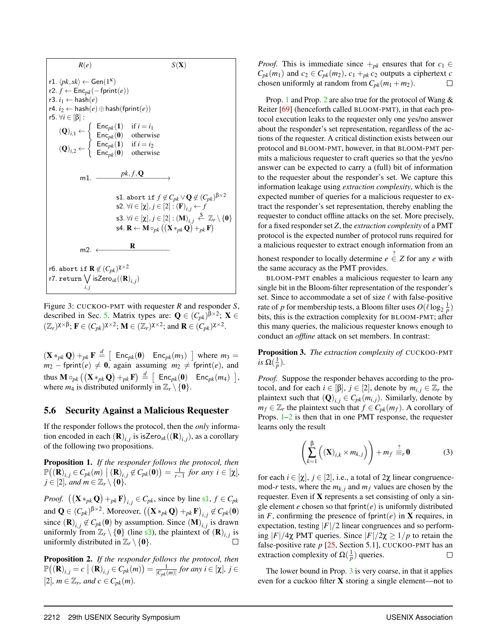<span id="page-12-9"></span><span id="page-12-8"></span><span id="page-12-2"></span><span id="page-12-1"></span>

<span id="page-12-16"></span><span id="page-12-11"></span><span id="page-12-10"></span><span id="page-12-7"></span><span id="page-12-6"></span><span id="page-12-5"></span><span id="page-12-4"></span><span id="page-12-3"></span>Figure 3: CUCKOO-PMT with requester *R* and responder *S*, described in Sec. [5.](#page-10-0) Matrix types are:  $\mathbf{Q} \in (C_{pk})^{\beta \times 2}$ ;  $\mathbf{X} \in$  $(\mathbb{Z}_r)^{\chi \times \beta}$ ;  $\mathbf{F} \in (C_{pk})^{\chi \times 2}$ ;  $\mathbf{M} \in (\mathbb{Z}_r)^{\chi \times 2}$ ; and  $\mathbf{R} \in (C_{pk})^{\chi \times 2}$ .

 $(\mathbf{X} *_{pk} \mathbf{Q}) +_{pk} \mathbf{F} \stackrel{d}{=} [\text{Enc}_{pk}(\mathbf{0}) \text{ Enc}_{pk}(m_3)]$  where  $m_3 =$  $m_2$  – fprint $(e) \neq 0$ , again assuming  $m_2 \neq$  fprint $(e)$ , and  $\text{thus } \mathbf{M} \circ_{pk} \big( \big( \mathbf{X} *_{pk} \mathbf{Q} \big) +_{pk} \mathbf{F} \big) \stackrel{d}{=} \big[ \begin{array}{cc} \textsf{Enc}_{pk}(\mathbf{0}) & \textsf{Enc}_{pk}(m_4) \end{array} \big],$ where  $m_4$  is distributed uniformly in  $\mathbb{Z}_r \setminus \{0\}.$ 

#### <span id="page-12-0"></span>5.6 Security Against a Malicious Requester

If the responder follows the protocol, then the *only* information encoded in each  $(\mathbf{R})_{i,j}$  is isZero<sub>sk</sub> $((\mathbf{R})_{i,j})$ , as a corollary of the following two propositions.

<span id="page-12-12"></span>Proposition 1. *If the responder follows the protocol, then*  $\mathbb{P}((\mathbf{R})_{i,j} \in C_{pk}(m) \mid (\mathbf{R})_{i,j} \notin C_{pk}(\mathbf{0})) = \frac{1}{r-1}$  for any  $i \in [\chi]$ ,  $j \in [2]$ , and  $m \in \mathbb{Z}_r \setminus \{0\}$ .

*Proof.*  $((\mathbf{X} *_{pk} \mathbf{Q}) +_{pk} \mathbf{F})_{i,j} \in C_{pk}$ , since by line [s1](#page-12-5),  $f \in C_{pk}$ and  $\mathbf{Q} \in (C_{pk})^{\beta \times 2}$ . Moreover,  $((\mathbf{X} *_{pk} \mathbf{Q}) +_{pk} \mathbf{F})_{i,j} \not\in C_{pk}(\mathbf{0})$ since  $(\mathbf{R})_{i,j} \notin C_{pk}(\mathbf{0})$  by assumption. Since  $(\mathbf{M})_{i,j}$  is drawn uniformly from  $\mathbb{Z}_r \setminus \{0\}$  (line [s3](#page-12-11)), the plaintext of  $(\mathbf{R})_{i,j}$  is uniformly distributed in  $\mathbb{Z}_r \setminus \{0\}.$ 

<span id="page-12-13"></span>Proposition 2. *If the responder follows the protocol, then*  $\mathbb{P}((\mathbf{R})_{i,j} = c \mid (\mathbf{R})_{i,j} \in C_{pk}(m)) = \frac{1}{|C_{pk}(m)|}$  for any  $i \in [\chi], j \in$ [2],  $m \in \mathbb{Z}_r$ , and  $c \in C_{pk}(m)$ .

*Proof.* This is immediate since  $+_{pk}$  ensures that for  $c_1 \in$  $C_{pk}(m_1)$  and  $c_2 \in C_{pk}(m_2)$ ,  $c_1 +_{pk} c_2$  outputs a ciphertext *c* chosen uniformly at random from  $C_{pk}(m_1 + m_2)$ .  $\Box$ 

Prop. [1](#page-12-12) and Prop. [2](#page-12-13) are also true for the protocol of Wang & Reiter [\[69\]](#page-18-6) (henceforth called BLOOM-PMT), in that each protocol execution leaks to the requester only one yes/no answer about the responder's set representation, regardless of the actions of the requester. A critical distinction exists between our protocol and BLOOM-PMT, however, in that BLOOM-PMT permits a malicious requester to craft queries so that the yes/no answer can be expected to carry a (full) bit of information to the requester about the responder's set. We capture this information leakage using *extraction complexity*, which is the expected number of queries for a malicious requester to extract the responder's set representation, thereby enabling the requester to conduct offline attacks on the set. More precisely, for a fixed responder set *Z*, the *extraction complexity* of a PMT protocol is the expected number of protocol runs required for a malicious requester to extract enough information from an honest responder to locally determine  $e \stackrel{?}{\in} Z$  for any  $e$  with

the same accuracy as the PMT provides.

BLOOM-PMT enables a malicious requester to learn any single bit in the Bloom-filter representation of the responder's set. Since to accommodate a set of size  $\ell$  with false-positive rate of *p* for membership tests, a Bloom filter uses  $O(\ell \log_2 \frac{1}{p})$ bits, this is the extraction complexity for BLOOM-PMT; after this many queries, the malicious requester knows enough to conduct an *offline* attack on set members. In contrast:

<span id="page-12-14"></span>Proposition 3. *The extraction complexity of* CUCKOO-PMT *is*  $\Omega(\frac{1}{p})$ *.* 

*Proof.* Suppose the responder behaves according to the protocol, and for each  $i \in [\beta], j \in [2]$ , denote by  $m_{i,j} \in \mathbb{Z}_r$  the plaintext such that  $(Q)_{i,j} \in C_{pk}(m_{i,j})$ . Similarly, denote by  $m_f \in \mathbb{Z}_r$  the plaintext such that  $f \in C_{pk}(m_f)$ . A corollary of Props.  $1-2$  $1-2$  is then that in one PMT response, the requester learns only the result

<span id="page-12-15"></span>
$$
\left(\sum_{k=1}^{\beta} \left( (\mathbf{X})_{i,k} \times m_{k,j} \right) \right) + m_f \stackrel{?}{=} r \mathbf{0} \tag{3}
$$

for each  $i \in [\chi], j \in [2]$ , i.e., a total of  $2\chi$  linear congruencemod-*r* tests, where the  $m_{k,i}$  and  $m_f$  values are chosen by the requester. Even if X represents a set consisting of only a single element  $e$  chosen so that fprint $(e)$  is uniformly distributed in  $F$ , confirming the presence of fprint( $e$ ) in **X** requires, in expectation, testing  $|F|/2$  linear congruences and so performing |*F*|/4χ PMT queries. Since |*F*|/2χ ≥ 1/*p* to retain the false-positive rate *p* [\[25,](#page-17-25) Section 5.1], CUCKOO-PMT has an extraction complexity of  $\Omega(\frac{1}{p})$  queries.  $\Box$ 

The lower bound in Prop. [3](#page-12-14) is very coarse, in that it applies even for a cuckoo filter  $X$  storing a single element—not to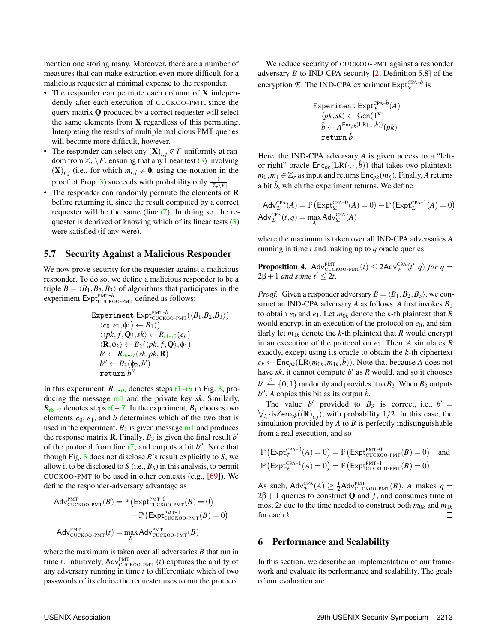mention one storing many. Moreover, there are a number of measures that can make extraction even more difficult for a malicious requester at minimal expense to the responder.

- The responder can permute each column of X independently after each execution of CUCKOO-PMT, since the query matrix Q produced by a correct requester will select the same elements from X regardless of this permuting. Interpreting the results of multiple malicious PMT queries will become more difficult, however.
- The responder can select any  $(\mathbf{X})_{i,j} \notin F$  uniformly at random from  $\mathbb{Z}_r \backslash F$ , ensuring that any linear test [\(3\)](#page-12-15) involving  $(X)_{i,j}$  (i.e., for which  $m_{i,j} \neq 0$ , using the notation in the proof of Prop. [3\)](#page-12-14) succeeds with probability only  $\frac{1}{\left|\mathbb{Z}_r\setminus F\right|}$ .
- The responder can randomly permute the elements of **R** before returning it, since the result computed by a correct requester will be the same (line [r7](#page-12-3)). In doing so, the requester is deprived of knowing which of its linear tests [\(3\)](#page-12-15) were satisfied (if any were).

## <span id="page-13-1"></span>5.7 Security Against a Malicious Responder

We now prove security for the requester against a malicious responder. To do so, we define a malicious responder to be a triple  $B = \langle B_1, B_2, B_3 \rangle$  of algorithms that participates in the experiment Expt<sub>PMT-b</sub><br>
experiment Expt<sub>CUCKOO-PMT</sub> defined as follows:

$$
\begin{array}{l} \text { Experiment \textnormal{Expt}}^{\textnormal{PMT-}b} \\ \langle e_0, e_1, \varphi_1 \rangle \leftarrow B_1() \\ \langle \langle pk, f, \mathbf{Q} \rangle, sk \rangle \leftarrow R_{r1-r5}(e_b) \\ \langle \mathbf{R}, \varphi_2 \rangle \leftarrow B_2(\langle pk, f, \mathbf{Q} \rangle, \varphi_1) \\ b' \leftarrow R_{r6-r7}(sk, pk, \mathbf{R}) \\ b'' \leftarrow B_3(\varphi_2, b') \\ \text { return } b'' \end{array}
$$

In this experiment,  $R_{r1-r5}$  $R_{r1-r5}$  $R_{r1-r5}$  $R_{r1-r5}$  $R_{r1-r5}$  denotes steps  $r1-r5$  in Fig. [3,](#page-12-1) producing the message [m1](#page-12-4) and the private key *sk*. Similarly,  $R_{r6-r7}$  $R_{r6-r7}$  $R_{r6-r7}$  $R_{r6-r7}$  $R_{r6-r7}$  denotes steps  $r6-r7$ . In the experiment,  $B_1$  chooses two elements  $e_0$ ,  $e_1$ , and *b* determines which of the two that is used in the experiment.  $B_2$  is given message  $m1$  and produces the response matrix **R**. Finally,  $B_3$  is given the final result *b*<sup>*i*</sup> of the protocol from line  $r7$ , and outputs a bit  $b''$ . Note that though Fig.  $3$  does not disclose  $R$ 's result explicitly to  $S$ , we allow it to be disclosed to  $S$  (i.e.,  $B_3$ ) in this analysis, to permit CUCKOO-PMT to be used in other contexts (e.g., [\[69\]](#page-18-6)). We define the responder-adversary advantage as

$$
Adv_{\text{CUCKOO-PMT}}^{\text{PMT}}(B) = \mathbb{P}\left(\text{Expt}_{\text{CUCKOO-PMT}}^{\text{PMT}-0}(B) = 0\right) - \mathbb{P}\left(\text{Expt}_{\text{CUCKOO-PMT}}^{\text{PMT}-1}(B) = 0\right) \text{Adv}_{\text{CUCKOO-PMT}}^{\text{PMT}}(t) = \max_{B} \text{Adv}_{\text{CUCKOO-PMT}}^{\text{PMT}}(B)
$$

where the maximum is taken over all adversaries *B* that run in time *t*. Intuitively,  $Adv_{\text{CUCKOO-PMT}}^{\text{PMT}}(t)$  captures the ability of any adversary running in time *t* to differentiate which of two passwords of its choice the requester uses to run the protocol.

We reduce security of CUCKOO-PMT against a responder adversary *B* to IND-CPA security [\[2,](#page-16-20) Definition 5.8] of the encryption *E*. The IND-CPA experiment  $\text{Expt}_{\mathcal{E}}^{\text{CPA-}\hat{b}}$  is

$$
\begin{array}{c} \texttt{Experiment}\ \textsf{Expt}_{\mathcal{F}}^{\textsf{CPA-}\hat{b}}(A) \\ \langle pk, sk \rangle \gets \textsf{Gen}(1^{\textsf{K}}) \\ \check{b} \gets A^{\textsf{Enc}_{pk}(\textsf{LR}(\cdot, \cdot, \hat{b}))}(pk) \\ \textcolor{red}{\textsf{return} \ \check{b}} \end{array}
$$

Here, the IND-CPA adversary *A* is given access to a "leftor-right" oracle  $Enc_{pk}(LR(\cdot,\cdot,\hat{b}))$  that takes two plaintexts *m*<sub>0</sub>,*m*<sub>1</sub> ∈  $\mathbb{Z}_r$  as input and returns Enc<sub>*pk*</sub>( $m_{\hat{b}}$ ). Finally, *A* returns a bit  $\dot{b}$ , which the experiment returns. We define

$$
\begin{array}{c}\mathsf{Adv}_{\mathcal{E}}^{\mathsf{CPA}}(A)=\mathbb{P}\left(\mathsf{Expt}_{\mathcal{E}}^{\mathsf{CPA}\textrm{-}\mathbf{0}}(A)=0\right)-\mathbb{P}\left(\mathsf{Expt}_{\mathcal{E}}^{\mathsf{CPA}\textrm{-}\mathbf{1}}(A)=0\right)\\ \mathsf{Adv}_{\mathcal{E}}^{\mathsf{CPA}}(t,q)=\max_{A}\mathsf{Adv}_{\mathcal{E}}^{\mathsf{CPA}}(A)\end{array}
$$

where the maximum is taken over all IND-CPA adversaries *A* running in time *t* and making up to *q* oracle queries.

**Proposition 4.** Adv<sup>PMT</sup><sub>CUCKOO-PMT</sub> $(t) \leq 2$ Adv<sup>CPA</sup> $(t', q)$  *for*  $q =$  $2\beta + 1$  *and some t'* < 2*t*.

*Proof.* Given a responder adversary  $B = \langle B_1, B_2, B_3 \rangle$ , we construct an IND-CPA adversary *A* as follows. *A* first invokes *B*<sup>1</sup> to obtain  $e_0$  and  $e_1$ . Let  $m_{0k}$  denote the *k*-th plaintext that *R* would encrypt in an execution of the protocol on  $e_0$ , and similarly let  $m_{1k}$  denote the *k*-th plaintext that *R* would encrypt in an execution of the protocol on *e*1. Then, *A* simulates *R* exactly, except using its oracle to obtain the *k*-th ciphertext  $c_k \leftarrow \text{Enc}_{pk}(\text{LR}(m_{0k}, m_{1k}, \hat{b}))$ . Note that because *A* does not have  $sk$ , it cannot compute  $b'$  as  $R$  would, and so it chooses  $b' \stackrel{\$}{\leftarrow} \{0,1\}$  randomly and provides it to  $B_3$ . When  $B_3$  outputs  $b''$ , *A* copies this bit as its output  $\check{b}$ .

The value *b*<sup> $\prime$ </sup> provided to *B*<sub>3</sub> is correct, i.e., *b*<sup> $\prime$ </sup> =  $\bigvee_{i,j}$  isZero<sub>sk</sub> $((\mathbf{R})_{i,j})$ , with probability 1/2. In this case, the simulation provided by *A* to *B* is perfectly indistinguishable from a real execution, and so

$$
\mathbb{P}\left(\text{Expt}_{\mathcal{E}}^{\text{CPA-0}}(A) = 0\right) = \mathbb{P}\left(\text{Expt}_{\text{CUCKOO-PMT}}^{\text{PMT-0}}(B) = 0\right) \text{ and}
$$

$$
\mathbb{P}\left(\text{Expt}_{\mathcal{E}}^{\text{CPA-1}}(A) = 0\right) = \mathbb{P}\left(\text{Expt}_{\text{CUCKOO-PMT}}^{\text{PMT-1}}(B) = 0\right)
$$

As such,  $\mathsf{Adv}_{\mathcal{E}}^{\mathsf{CPA}}(A) \geq \frac{1}{2} \mathsf{Adv}_{\mathsf{CUCKOO-PMT}}^{\mathsf{PMT}}(B)$ . *A* makes  $q =$  $2\beta + 1$  queries to construct **Q** and *f*, and consumes time at most 2*t* due to the time needed to construct both  $m_{0k}$  and  $m_{1k}$ for each *k*. П

### <span id="page-13-0"></span>6 Performance and Scalability

In this section, we describe an implementation of our framework and evaluate its performance and scalability. The goals of our evaluation are: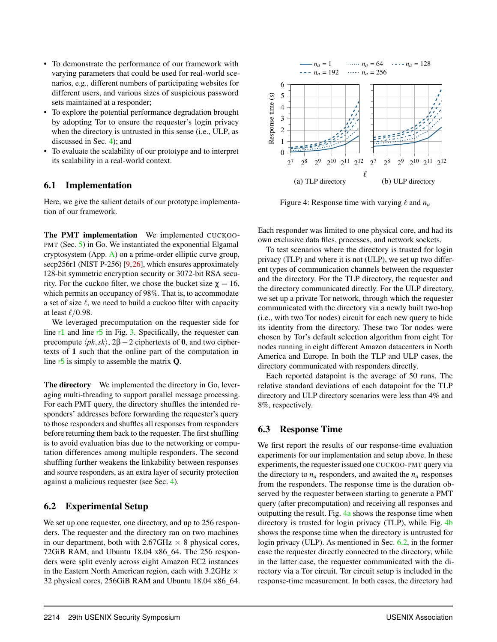- To demonstrate the performance of our framework with varying parameters that could be used for real-world scenarios, e.g., different numbers of participating websites for different users, and various sizes of suspicious password sets maintained at a responder;
- To explore the potential performance degradation brought by adopting Tor to ensure the requester's login privacy when the directory is untrusted in this sense (i.e., ULP, as discussed in Sec. [4\)](#page-8-0); and
- To evaluate the scalability of our prototype and to interpret its scalability in a real-world context.

# <span id="page-14-0"></span>6.1 Implementation

Here, we give the salient details of our prototype implementation of our framework.

The PMT implementation We implemented CUCKOO-PMT (Sec. [5\)](#page-10-0) in Go. We instantiated the exponential Elgamal cryptosystem (App. [A\)](#page-18-18) on a prime-order elliptic curve group, secp256r1 (NIST P-256) [\[9,](#page-16-21)[26\]](#page-17-26), which ensures approximately 128-bit symmetric encryption security or 3072-bit RSA security. For the cuckoo filter, we chose the bucket size  $χ = 16$ , which permits an occupancy of 98%. That is, to accommodate a set of size  $\ell$ , we need to build a cuckoo filter with capacity at least  $\ell$ /0.98.

We leveraged precomputation on the requester side for line  $r1$  and line  $r5$  in Fig. [3.](#page-12-1) Specifically, the requester can precompute  $\langle pk, sk \rangle$ , 2 $\beta - 2$  ciphertexts of 0, and two ciphertexts of 1 such that the online part of the computation in line  $r5$  is simply to assemble the matrix  $Q$ .

The directory We implemented the directory in Go, leveraging multi-threading to support parallel message processing. For each PMT query, the directory shuffles the intended responders' addresses before forwarding the requester's query to those responders and shuffles all responses from responders before returning them back to the requester. The first shuffling is to avoid evaluation bias due to the networking or computation differences among multiple responders. The second shuffling further weakens the linkability between responses and source responders, as an extra layer of security protection against a malicious requester (see Sec. [4\)](#page-8-0).

# <span id="page-14-2"></span>6.2 Experimental Setup

We set up one requester, one directory, and up to 256 responders. The requester and the directory ran on two machines in our department, both with  $2.67$ GHz  $\times$  8 physical cores, 72GiB RAM, and Ubuntu 18.04 x86\_64. The 256 responders were split evenly across eight Amazon EC2 instances in the Eastern North American region, each with  $3.2\text{GHz} \times$ 32 physical cores, 256GiB RAM and Ubuntu 18.04 x86\_64.

<span id="page-14-1"></span>

Figure 4: Response time with varying  $\ell$  and  $n_a$ 

Each responder was limited to one physical core, and had its own exclusive data files, processes, and network sockets.

To test scenarios where the directory is trusted for login privacy (TLP) and where it is not (ULP), we set up two different types of communication channels between the requester and the directory. For the TLP directory, the requester and the directory communicated directly. For the ULP directory, we set up a private Tor network, through which the requester communicated with the directory via a newly built two-hop (i.e., with two Tor nodes) circuit for each new query to hide its identity from the directory. These two Tor nodes were chosen by Tor's default selection algorithm from eight Tor nodes running in eight different Amazon datacenters in North America and Europe. In both the TLP and ULP cases, the directory communicated with responders directly.

Each reported datapoint is the average of 50 runs. The relative standard deviations of each datapoint for the TLP directory and ULP directory scenarios were less than 4% and 8%, respectively.

# 6.3 Response Time

We first report the results of our response-time evaluation experiments for our implementation and setup above. In these experiments, the requester issued one CUCKOO-PMT query via the directory to  $n_a$  responders, and awaited the  $n_a$  responses from the responders. The response time is the duration observed by the requester between starting to generate a PMT query (after precomputation) and receiving all responses and outputting the result. Fig. [4a](#page-14-1) shows the response time when directory is trusted for login privacy (TLP), while Fig. [4b](#page-14-1) shows the response time when the directory is untrusted for login privacy (ULP). As mentioned in Sec. [6.2,](#page-14-2) in the former case the requester directly connected to the directory, while in the latter case, the requester communicated with the directory via a Tor circuit. Tor circuit setup is included in the response-time measurement. In both cases, the directory had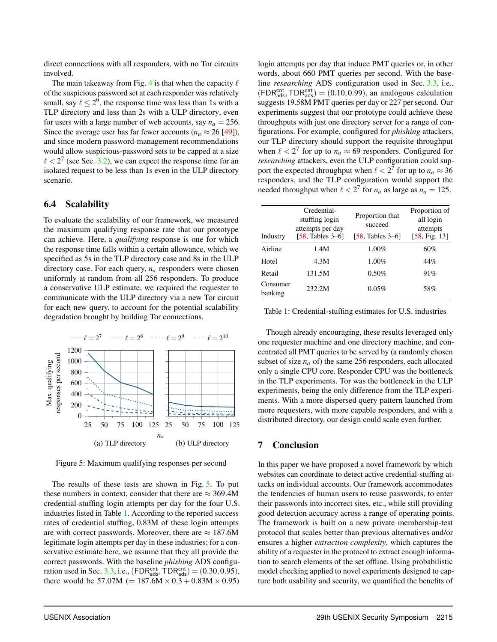direct connections with all responders, with no Tor circuits involved.

The main takeaway from Fig. [4](#page-14-1) is that when the capacity  $\ell$ of the suspicious password set at each responder was relatively small, say  $\ell \leq 2^9$ , the response time was less than 1s with a TLP directory and less than 2s with a ULP directory, even for users with a large number of web accounts, say  $n_a = 256$ . Since the average user has far fewer accounts ( $n_a \approx 26$  [\[49\]](#page-17-2)), and since modern password-management recommendations would allow suspicious-password sets to be capped at a size  $\ell < 2^7$  (see Sec. [3.2\)](#page-4-0), we can expect the response time for an isolated request to be less than 1s even in the ULP directory scenario.

## <span id="page-15-0"></span>6.4 Scalability

To evaluate the scalability of our framework, we measured the maximum qualifying response rate that our prototype can achieve. Here, a *qualifying* response is one for which the response time falls within a certain allowance, which we specified as 5s in the TLP directory case and 8s in the ULP directory case. For each query, *n<sup>a</sup>* responders were chosen uniformly at random from all 256 responders. To produce a conservative ULP estimate, we required the requester to communicate with the ULP directory via a new Tor circuit for each new query, to account for the potential scalability degradation brought by building Tor connections.

<span id="page-15-1"></span>

Figure 5: Maximum qualifying responses per second

The results of these tests are shown in Fig. [5.](#page-15-1) To put these numbers in context, consider that there are  $\approx$  369.4M credential-stuffing login attempts per day for the four U.S. industries listed in Table [1.](#page-15-2) According to the reported success rates of credential stuffing, 0.83M of these login attempts are with correct passwords. Moreover, there are  $\approx 187.6M$ legitimate login attempts per day in these industries; for a conservative estimate here, we assume that they all provide the correct passwords. With the baseline *phishing* ADS configu-ration used in Sec. [3.3,](#page-5-0) i.e.,  $(FDR_{ads}^{cnt}, TDR_{ads}^{cnt}) = (0.30, 0.95),$ there would be 57.07M (=  $187.6M \times 0.3 + 0.83M \times 0.95$ )

login attempts per day that induce PMT queries or, in other words, about 660 PMT queries per second. With the baseline *researching* ADS configuration used in Sec. [3.3,](#page-5-0) i.e.,  $(FDR<sub>ads</sub><sup>cnt</sup>, TDR<sub>ads</sub><sup>cnt</sup>) = (0.10, 0.99)$ , an analogous calculation suggests 19.58M PMT queries per day or 227 per second. Our experiments suggest that our prototype could achieve these throughputs with just one directory server for a range of configurations. For example, configured for *phishing* attackers, our TLP directory should support the requisite throughput when  $\ell < 2^7$  for up to  $n_a \approx 69$  responders. Configured for *researching* attackers, even the ULP configuration could support the expected throughput when  $\ell < 2^7$  for up to  $n_a \approx 36$ responders, and the TLP configuration would support the needed throughput when  $\ell < 2^7$  for  $n_a$  as large as  $n_a = 125$ .

<span id="page-15-2"></span>

| Industry            | Credential-<br>stuffing login<br>attempts per day<br>[58, Tables $3-6$ ] | Proportion that<br>succeed<br>$[58, \text{Tables } 3-6]$ | Proportion of<br>all login<br>attempts<br>[58, Fig. 13] |
|---------------------|--------------------------------------------------------------------------|----------------------------------------------------------|---------------------------------------------------------|
| Airline             | 1.4M                                                                     | $1.00\%$                                                 | 60%                                                     |
| Hotel               | 4.3M                                                                     | $1.00\%$                                                 | 44%                                                     |
| Retail              | 131.5M                                                                   | $0.50\%$                                                 | 91%                                                     |
| Consumer<br>banking | 232.2M                                                                   | $0.05\%$                                                 | 58%                                                     |

Table 1: Credential-stuffing estimates for U.S. industries

Though already encouraging, these results leveraged only one requester machine and one directory machine, and concentrated all PMT queries to be served by (a randomly chosen subset of size  $n_a$  of) the same 256 responders, each allocated only a single CPU core. Responder CPU was the bottleneck in the TLP experiments. Tor was the bottleneck in the ULP experiments, being the only difference from the TLP experiments. With a more dispersed query pattern launched from more requesters, with more capable responders, and with a distributed directory, our design could scale even further.

## 7 Conclusion

In this paper we have proposed a novel framework by which websites can coordinate to detect active credential-stuffing attacks on individual accounts. Our framework accommodates the tendencies of human users to reuse passwords, to enter their passwords into incorrect sites, etc., while still providing good detection accuracy across a range of operating points. The framework is built on a new private membership-test protocol that scales better than previous alternatives and/or ensures a higher *extraction complexity*, which captures the ability of a requester in the protocol to extract enough information to search elements of the set offline. Using probabilistic model checking applied to novel experiments designed to capture both usability and security, we quantified the benefits of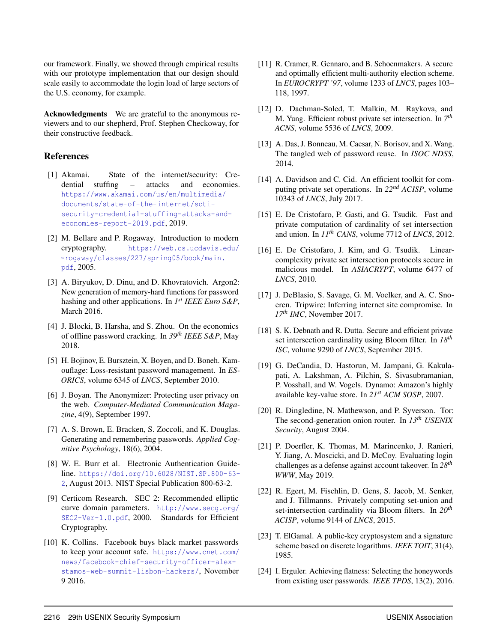our framework. Finally, we showed through empirical results with our prototype implementation that our design should scale easily to accommodate the login load of large sectors of the U.S. economy, for example.

Acknowledgments We are grateful to the anonymous reviewers and to our shepherd, Prof. Stephen Checkoway, for their constructive feedback.

# References

- <span id="page-16-1"></span>[1] Akamai. State of the internet/security: Credential stuffing – attacks and economies. [https://www.akamai.com/us/en/multimedia/](https://www.akamai.com/us/en/multimedia/documents/state-of-the-internet/soti-security-credential-stuffing-attacks-and-economies-report-2019.pdf) [documents/state-of-the-internet/soti](https://www.akamai.com/us/en/multimedia/documents/state-of-the-internet/soti-security-credential-stuffing-attacks-and-economies-report-2019.pdf)[security-credential-stuffing-attacks-and](https://www.akamai.com/us/en/multimedia/documents/state-of-the-internet/soti-security-credential-stuffing-attacks-and-economies-report-2019.pdf)[economies-report-2019.pdf](https://www.akamai.com/us/en/multimedia/documents/state-of-the-internet/soti-security-credential-stuffing-attacks-and-economies-report-2019.pdf), 2019.
- <span id="page-16-20"></span>[2] M. Bellare and P. Rogaway. Introduction to modern cryptography. [https://web.cs.ucdavis.edu/](https://web.cs.ucdavis.edu/~rogaway/classes/227/spring05/book/main.pdf) [~rogaway/classes/227/spring05/book/main.](https://web.cs.ucdavis.edu/~rogaway/classes/227/spring05/book/main.pdf) [pdf](https://web.cs.ucdavis.edu/~rogaway/classes/227/spring05/book/main.pdf), 2005.
- <span id="page-16-8"></span>[3] A. Biryukov, D. Dinu, and D. Khovratovich. Argon2: New generation of memory-hard functions for password hashing and other applications. In  $I^{st}$  *IEEE Euro S&P*, March 2016.
- <span id="page-16-11"></span>[4] J. Blocki, B. Harsha, and S. Zhou. On the economics of offline password cracking. In *39th IEEE S&P*, May 2018.
- <span id="page-16-5"></span>[5] H. Bojinov, E. Bursztein, X. Boyen, and D. Boneh. Kamouflage: Loss-resistant password management. In *ES-ORICS*, volume 6345 of *LNCS*, September 2010.
- <span id="page-16-13"></span>[6] J. Boyan. The Anonymizer: Protecting user privacy on the web. *Computer-Mediated Communication Magazine*, 4(9), September 1997.
- <span id="page-16-3"></span>[7] A. S. Brown, E. Bracken, S. Zoccoli, and K. Douglas. Generating and remembering passwords. *Applied Cognitive Psychology*, 18(6), 2004.
- <span id="page-16-10"></span>[8] W. E. Burr et al. Electronic Authentication Guideline. [https://doi.org/10.6028/NIST.SP.800-63-](https://doi.org/10.6028/NIST.SP.800-63-2) [2](https://doi.org/10.6028/NIST.SP.800-63-2), August 2013. NIST Special Publication 800-63-2.
- <span id="page-16-21"></span>[9] Certicom Research. SEC 2: Recommended elliptic curve domain parameters. [http://www.secg.org/](http://www.secg.org/SEC2-Ver-1.0.pdf) [SEC2-Ver-1.0.pdf](http://www.secg.org/SEC2-Ver-1.0.pdf), 2000. Standards for Efficient Cryptography.
- <span id="page-16-4"></span>[10] K. Collins. Facebook buys black market passwords to keep your account safe. [https://www.cnet.com/](https://www.cnet.com/news/facebook-chief-security-officer-alex-stamos-web-summit-lisbon-hackers/) [news/facebook-chief-security-officer-alex](https://www.cnet.com/news/facebook-chief-security-officer-alex-stamos-web-summit-lisbon-hackers/)[stamos-web-summit-lisbon-hackers/](https://www.cnet.com/news/facebook-chief-security-officer-alex-stamos-web-summit-lisbon-hackers/), November 9 2016.
- <span id="page-16-23"></span>[11] R. Cramer, R. Gennaro, and B. Schoenmakers. A secure and optimally efficient multi-authority election scheme. In *EUROCRYPT '97*, volume 1233 of *LNCS*, pages 103– 118, 1997.
- <span id="page-16-18"></span>[12] D. Dachman-Soled, T. Malkin, M. Raykova, and M. Yung. Efficient robust private set intersection. In *7 th ACNS*, volume 5536 of *LNCS*, 2009.
- <span id="page-16-0"></span>[13] A. Das, J. Bonneau, M. Caesar, N. Borisov, and X. Wang. The tangled web of password reuse. In *ISOC NDSS*, 2014.
- <span id="page-16-14"></span>[14] A. Davidson and C. Cid. An efficient toolkit for computing private set operations. In *22nd ACISP*, volume 10343 of *LNCS*, July 2017.
- <span id="page-16-15"></span>[15] E. De Cristofaro, P. Gasti, and G. Tsudik. Fast and private computation of cardinality of set intersection and union. In *11th CANS*, volume 7712 of *LNCS*, 2012.
- <span id="page-16-19"></span>[16] E. De Cristofaro, J. Kim, and G. Tsudik. Linearcomplexity private set intersection protocols secure in malicious model. In *ASIACRYPT*, volume 6477 of *LNCS*, 2010.
- <span id="page-16-7"></span>[17] J. DeBlasio, S. Savage, G. M. Voelker, and A. C. Snoeren. Tripwire: Inferring internet site compromise. In *17th IMC*, November 2017.
- <span id="page-16-16"></span>[18] S. K. Debnath and R. Dutta. Secure and efficient private set intersection cardinality using Bloom filter. In *18th ISC*, volume 9290 of *LNCS*, September 2015.
- <span id="page-16-12"></span>[19] G. DeCandia, D. Hastorun, M. Jampani, G. Kakulapati, A. Lakshman, A. Pilchin, S. Sivasubramanian, P. Vosshall, and W. Vogels. Dynamo: Amazon's highly available key-value store. In *21st ACM SOSP*, 2007.
- <span id="page-16-2"></span>[20] R. Dingledine, N. Mathewson, and P. Syverson. Tor: The second-generation onion router. In *13th USENIX Security*, August 2004.
- <span id="page-16-9"></span>[21] P. Doerfler, K. Thomas, M. Marincenko, J. Ranieri, Y. Jiang, A. Moscicki, and D. McCoy. Evaluating login challenges as a defense against account takeover. In *28th WWW*, May 2019.
- <span id="page-16-17"></span>[22] R. Egert, M. Fischlin, D. Gens, S. Jacob, M. Senker, and J. Tillmanns. Privately computing set-union and set-intersection cardinality via Bloom filters. In *20th ACISP*, volume 9144 of *LNCS*, 2015.
- <span id="page-16-22"></span>[23] T. ElGamal. A public-key cryptosystem and a signature scheme based on discrete logarithms. *IEEE TOIT*, 31(4), 1985.
- <span id="page-16-6"></span>[24] I. Erguler. Achieving flatness: Selecting the honeywords from existing user passwords. *IEEE TPDS*, 13(2), 2016.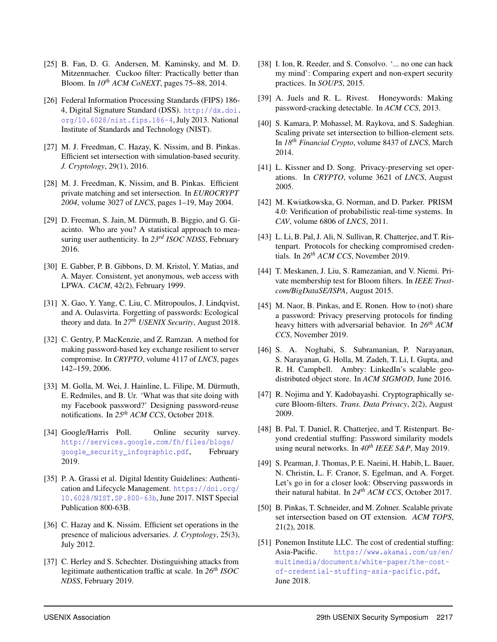- <span id="page-17-25"></span>[25] B. Fan, D. G. Andersen, M. Kaminsky, and M. D. Mitzenmacher. Cuckoo filter: Practically better than Bloom. In *10th ACM CoNEXT*, pages 75–88, 2014.
- <span id="page-17-26"></span>[26] Federal Information Processing Standards (FIPS) 186-4, Digital Signature Standard (DSS). [http://dx.doi.](http://dx.doi.org/10.6028/nist.fips.186-4) [org/10.6028/nist.fips.186-4](http://dx.doi.org/10.6028/nist.fips.186-4), July 2013. National Institute of Standards and Technology (NIST).
- <span id="page-17-21"></span>[27] M. J. Freedman, C. Hazay, K. Nissim, and B. Pinkas. Efficient set intersection with simulation-based security. *J. Cryptology*, 29(1), 2016.
- <span id="page-17-22"></span>[28] M. J. Freedman, K. Nissim, and B. Pinkas. Efficient private matching and set intersection. In *EUROCRYPT 2004*, volume 3027 of *LNCS*, pages 1–19, May 2004.
- <span id="page-17-6"></span>[29] D. Freeman, S. Jain, M. Dürmuth, B. Biggio, and G. Giacinto. Who are you? A statistical approach to measuring user authenticity. In *23rd ISOC NDSS*, February 2016.
- <span id="page-17-16"></span>[30] E. Gabber, P. B. Gibbons, D. M. Kristol, Y. Matias, and A. Mayer. Consistent, yet anonymous, web access with LPWA. *CACM*, 42(2), February 1999.
- <span id="page-17-0"></span>[31] X. Gao, Y. Yang, C. Liu, C. Mitropoulos, J. Lindqvist, and A. Oulasvirta. Forgetting of passwords: Ecological theory and data. In *27th USENIX Security*, August 2018.
- <span id="page-17-13"></span>[32] C. Gentry, P. MacKenzie, and Z. Ramzan. A method for making password-based key exchange resilient to server compromise. In *CRYPTO*, volume 4117 of *LNCS*, pages 142–159, 2006.
- <span id="page-17-4"></span>[33] M. Golla, M. Wei, J. Hainline, L. Filipe, M. Dürmuth, E. Redmiles, and B. Ur. 'What was that site doing with my Facebook password?' Designing password-reuse notifications. In *25th ACM CCS*, October 2018.
- <span id="page-17-5"></span>[34] Google/Harris Poll. Online security survey. [http://services.google.com/fh/files/blogs/](http://services.google.com/fh/files/blogs/google_security_infographic.pdf) google security infographic.pdf, February 2019.
- <span id="page-17-7"></span>[35] P. A. Grassi et al. Digital Identity Guidelines: Authentication and Lifecycle Management. [https://doi.org/](https://doi.org/10.6028/NIST.SP.800-63b) [10.6028/NIST.SP.800-63b](https://doi.org/10.6028/NIST.SP.800-63b), June 2017. NIST Special Publication 800-63B.
- <span id="page-17-23"></span>[36] C. Hazay and K. Nissim. Efficient set operations in the presence of malicious adversaries. *J. Cryptology*, 25(3), July 2012.
- <span id="page-17-12"></span>[37] C. Herley and S. Schechter. Distinguishing attacks from legitimate authentication traffic at scale. In *26th ISOC NDSS*, February 2019.
- <span id="page-17-1"></span>[38] I. Ion, R. Reeder, and S. Consolvo. '... no one can hack my mind': Comparing expert and non-expert security practices. In *SOUPS*, 2015.
- <span id="page-17-11"></span>[39] A. Juels and R. L. Rivest. Honeywords: Making password-cracking detectable. In *ACM CCS*, 2013.
- <span id="page-17-24"></span>[40] S. Kamara, P. Mohassel, M. Raykova, and S. Sadeghian. Scaling private set intersection to billion-element sets. In *18th Financial Crypto*, volume 8437 of *LNCS*, March 2014.
- <span id="page-17-20"></span>[41] L. Kissner and D. Song. Privacy-preserving set operations. In *CRYPTO*, volume 3621 of *LNCS*, August 2005.
- <span id="page-17-14"></span>[42] M. Kwiatkowska, G. Norman, and D. Parker. PRISM 4.0: Verification of probabilistic real-time systems. In *CAV*, volume 6806 of *LNCS*, 2011.
- <span id="page-17-8"></span>[43] L. Li, B. Pal, J. Ali, N. Sullivan, R. Chatterjee, and T. Ristenpart. Protocols for checking compromised credentials. In *26th ACM CCS*, November 2019.
- <span id="page-17-17"></span>[44] T. Meskanen, J. Liu, S. Ramezanian, and V. Niemi. Private membership test for Bloom filters. In *IEEE Trustcom/BigDataSE/ISPA*, August 2015.
- <span id="page-17-10"></span>[45] M. Naor, B. Pinkas, and E. Ronen. How to (not) share a password: Privacy preserving protocols for finding heavy hitters with adversarial behavior. In *26th ACM CCS*, November 2019.
- <span id="page-17-15"></span>[46] S. A. Noghabi, S. Subramanian, P. Narayanan, S. Narayanan, G. Holla, M. Zadeh, T. Li, I. Gupta, and R. H. Campbell. Ambry: LinkedIn's scalable geodistributed object store. In *ACM SIGMOD*, June 2016.
- <span id="page-17-18"></span>[47] R. Nojima and Y. Kadobayashi. Cryptographically secure Bloom-filters. *Trans. Data Privacy*, 2(2), August 2009.
- <span id="page-17-9"></span>[48] B. Pal, T. Daniel, R. Chatterjee, and T. Ristenpart. Beyond credential stuffing: Password similarity models using neural networks. In *40th IEEE S&P*, May 2019.
- <span id="page-17-2"></span>[49] S. Pearman, J. Thomas, P. E. Naeini, H. Habib, L. Bauer, N. Christin, L. F. Cranor, S. Egelman, and A. Forget. Let's go in for a closer look: Observing passwords in their natural habitat. In *24th ACM CCS*, October 2017.
- <span id="page-17-19"></span>[50] B. Pinkas, T. Schneider, and M. Zohner. Scalable private set intersection based on OT extension. *ACM TOPS*, 21(2), 2018.
- <span id="page-17-3"></span>[51] Ponemon Institute LLC. The cost of credential stuffing: Asia-Pacific. [https://www.akamai.com/us/en/](https://www.akamai.com/us/en/multimedia/documents/white-paper/the-cost-of-credential-stuffing-asia-pacific.pdf) [multimedia/documents/white-paper/the-cost](https://www.akamai.com/us/en/multimedia/documents/white-paper/the-cost-of-credential-stuffing-asia-pacific.pdf)[of-credential-stuffing-asia-pacific.pdf](https://www.akamai.com/us/en/multimedia/documents/white-paper/the-cost-of-credential-stuffing-asia-pacific.pdf), June 2018.